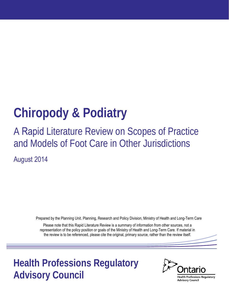# **Chiropody & Podiatry**

# A Rapid Literature Review on Scopes of Practice and Models of Foot Care in Other Jurisdictions

August 2014

Prepared by the Planning Unit. Planning, Research and Policy Division, Ministry of Health and Long-Term Care

Please note that this Rapid Literature Review is a summary of information from other sources, not a representation of the policy position or goals of the Ministry of Health and Long-Term Care. If material in the review is to be referenced, please cite the original, primary source, rather than the review itself.

**Health Professions Regulatory Advisory Council**

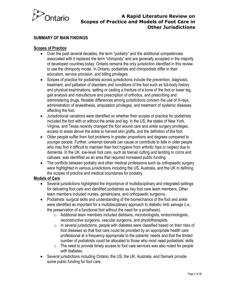

#### **SUMMARY OF MAIN FINDINGS**

#### **Scopes of Practice**

- Over the past several decades, the term "podiatry" and the additional competencies associated with it replaced the term "chiropody" and are generally accepted in the majority of developed countries today. Ontario remains the only jurisdiction identified in this review to use the chiropody model. In Ontario, podiatrists and chiropodists differ in their education, service provision, and billing privileges.
- Scopes of practice for podiatrists across jurisdictions include the prevention, diagnosis, treatment, and palliation of disorders and conditions of the foot such as full-body history and physical examinations, setting or casting a fracture of a bone of the foot or lower leg, gait analysis and manufacture and prescription of orthotics, and prescribing and administering drugs. Notable differences among jurisdictions concern the use of X-rays, administration of anaesthesia, amputation privileges, and treatment of systemic diseases affecting the foot.
- Jurisdictional variations were identified on whether their scopes of practice for podiatrists included the foot with or without the ankle and leg. In the US, the states of New York, Virginia, and Texas recently changed the foot wound care and ankle surgery privileges, access to areas above the ankle to harvest skin grafts, and the definition of the foot.
- Older people suffer from foot problems in greater proportions and degrees compared to younger people. Further, unkempt toenails can cause or contribute to falls in older people who may find it difficult to maintain their foot hygiene from arthritic hips or neglect due to dementia. In the UK, low-level foot care, such as toenail cutting and tending to corns and calluses, was identified as an area that required increased public funding.
- The conflicts between podiatry and other medical professions such as orthopaedic surgery were highlighted in various jurisdictions including the US, Australia, and the UK in defining the scopes of practice and medical boundaries for podiatry.

#### **Models of Care**

- Several jurisdictions highlighted the importance of multidisciplinary and integrated settings for delivering foot care and identified podiatrists as key foot care team members. Other team members included nurses, geriatricians, and orthopaedic surgeons.
- Podiatrists' surgical skills and understanding of the biomechanics of the foot and ankle were identified as important for a multidisciplinary approach to diabetic limb salvage (i.e., the preservation of a functional foot without the need for a prosthesis).
	- o Additional team members included dietitians, microbiologists, endocrinologists, reconstructive surgeons, vascular surgeons, and physiotherapists.
	- $\circ$  In several jurisdictions, people with diabetes were classified based on their risks of foot diseases so that foot care could be provided by an appropriate health care professional at a frequency appropriate to the patients' needs and that the limited number of podiatrists could be allocated to those who most need podiatrists' skills.
	- $\circ$  The need to provide timely access to foot care services was also noted for people with diabetes.
- Several jurisdictions including Ontario, the US, the UK, Australia, and Demark provide some public funding for foot care.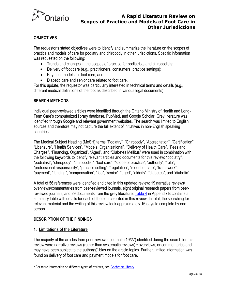

#### **OBJECTIVES**

The requestor's stated objectives were to identify and summarize the literature on the scopes of practice and models of care for podiatry and chiropody in other jurisdictions. Specific information was requested on the following:

- Trends and changes in the scopes of practice for podiatrists and chiropodists;
- Delivery of foot care (e.g., practitioners, consumers, practice settings);
- Payment models for foot care; and
- Diabetic care and senior care related to foot care.

For this update, the requestor was particularly interested in technical terms and details (e.g., different medical definitions of the foot as described in various legal documents).

#### **SEARCH METHODS**

Individual peer-reviewed articles were identified through the Ontario Ministry of Health and Long-Term Care's computerized library database, PubMed, and Google Scholar. Grey literature was identified through Google and relevant government websites. The search was limited to English sources and therefore may not capture the full extent of initiatives in non-English speaking countries.

The Medical Subject Heading (MeSH) terms "Podiatry", "Chiropody", "Accreditation", "Certification", "Licensure", "Health Services", "Models, Organizational", "Delivery of Health Care", "Fees and Charges", "Financing, Organized", "Aged", and "Diabetes Mellitus" were used in combination with the following keywords to identify relevant articles and documents for this review: "podiatry", "podiatrist", "chiropody", "chiropodist", "foot care", "scope of practice", "authority", "role", "professional responsibility", "practice setting", "regulation", "model of care", "framework", "payment", "funding", "compensation", "fee", "senior", "aged", "elderly", "diabetes", and "diabetic".

A total of 56 references were identified and cited in this updated review: 19 narrative reviews/ overviews/commentaries from peer-reviewed journals, eight original research papers from peerreviewed journals, and 29 documents from the grey literature. **Table 4** in Appendix B contains a summary table with details for each of the sources cited in this review. In total, the searching for relevant material and the writing of this review took approximately 16 days to complete by one person.

#### **DESCRIPTION OF THE FINDINGS**

#### **1. Limitations of the Literature**

The majority of the articles from peer-reviewed journals (19/27) identified during the search for this review were narrative reviews (rather than systematic reviews),<sup>a</sup> overviews, or commentaries and may have been subject to the author(s)' bias on the article topics. Further, limited information was found on delivery of foot care and payment models for foot care.

<sup>&</sup>lt;sup>a</sup> For more information on different types of reviews, see [Cochrane Library.](http://ph.cochrane.org/sites/ph.cochrane.org/files/uploads/Unit_One.pdf)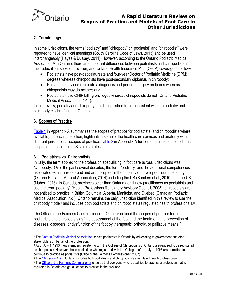

#### **2. Terminology**

In some jurisdictions, the terms "podiatry" and "chiropody" or "podiatrist" and "chiropodist" were reported to have identical meanings (South Carolina Code of Laws, 2013) and be used interchangeably (Hayes & Bussey, 2011). However, according to the Ontario Podiatric Medical Association,<sup>b</sup> in Ontario, there are important differences between podiatrists and chiropodists in their education, service provision, and Ontario Health Insurance Plan (OHIP) coverage as follows:

- Podiatrists have post-baccalaureate and four-year Doctor of Podiatric Medicine (DPM) degrees whereas chiropodists have post-secondary diplomas in chiropody;
- Podiatrists may communicate a diagnosis and perform surgery on bones whereas chiropodists may do neither; and
- Podiatrists have OHIP billing privileges whereas chiropodists do not (Ontario Podiatric Medical Association, 2014).

In this review, podiatry and chiropody are distinguished to be consistent with the podiatry and chiropody models found in Ontario.

#### **3. Scopes of Practice**

[Table 1](#page-12-0) in Appendix A summarizes the scopes of practice for podiatrists (and chiropodists where available) for each jurisdiction, highlighting some of the health care services and anatomy within different jurisdictional scopes of practice. [Table 2](#page-17-0) in Appendix A further summarizes the podiatric scopes of practice from US state statutes.

#### **3.1. Podiatrists vs. Chiropodists**

Initially, the term applied to the profession specializing in foot care across jurisdictions was "chiropody." Over the past several decades, the term "podiatry" and the additional competencies associated with it have spread and are accepted in the majority of developed countries today (Ontario Podiatric Medical Association, 2014) including the US (Sanders et al., 2010) and the UK (Maher, 2013). In Canada, provinces other than Ontario admit new practitioners as podiatrists and use the term "podiatry" (Health Professions Regulatory Advisory Council, 2008); chiropodists are not entitled to practice in British Columbia, Alberta, Manitoba, and Quebec (Canadian Podiatric Medical Association, n.d.). Ontario remains the only jurisdiction identified in this review to use the chiropody model<sup>c</sup> and includes both podiatrists and chiropodists as regulated health professionals.<sup>d</sup>

The Office of the Fairness Commissioner of Ontario<sup>e</sup> defined the scopes of practice for both podiatrists and chiropodists as "the assessment of the foot and the treatment and prevention of diseases, disorders, or dysfunction of the foot by therapeutic, orthotic, or palliative means."

<sup>&</sup>lt;sup>b</sup> Th[e Ontario Podiatric Medical Association s](http://www.opma.ca/pages/?section=1&page=11&type=aboutus&pa=left)erves podiatrists in Ontario by advocating to government and other stakeholders on behalf of the profession.

c As of July 1, 1993, new members registering with the College of Chiropodists of Ontario are required to be registered as chiropodists. However, those podiatrists who registered with the College before July 1, 1993 are permitted to continue to practice as podiatrists (Office of the Fairness Commissioner, 2007).

<sup>d</sup> The *[Chiropody Act](http://www.e-laws.gov.on.ca/html/statutes/english/elaws_statutes_91c20_e.htm)* in Ontario includes both podiatrists and chiropodists as regulated health professionals.

<sup>&</sup>lt;sup>e</sup> The <u>Office of the Fairness Commissioner</u> ensures that everyone who is qualified to practice a profession that is regulated in Ontario can get a licence to practice in the province.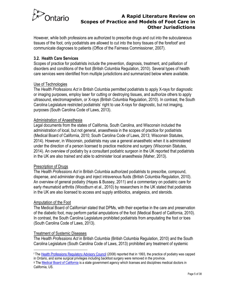

However, while both professions are authorized to prescribe drugs and cut into the subcutaneous tissues of the foot, only podiatrists are allowed to cut into the bony tissues of the forefoot and communicate diagnoses to patients (Office of the Fairness Commissioner, 2007).

#### **3.2. Health Care Services**

Scopes of practice for podiatrists include the prevention, diagnosis, treatment, and palliation of disorders and conditions of the foot (British Columbia Regulation, 2010). Several types of health care services were identified from multiple jurisdictions and summarized below where available.

#### Use of Technologies

The *Health Professions Act* in British Columbia permitted podiatrists to apply X-rays for diagnostic or imaging purposes, employ laser for cutting or destroying tissues, and authorize others to apply ultrasound, electromagnetism, or X-rays (British Columbia Regulation, 2010). In contrast, the South Carolina Legislature restricted podiatrists' right to use X-rays for diagnostic, but not imaging, purposes (South Carolina Code of Laws, 2013).

#### Administration of Anaesthesia

Legal documents from the states of California, South Carolina, and Wisconsin included the administration of local, but not general, anaesthesia in the scopes of practice for podiatrists (Medical Board of California, 2010; South Carolina Code of Laws, 2013; Wisconsin Statutes, 2014). However, in Wisconsin, podiatrists may use a general anaesthetic when it is administered under the direction of a person licensed to practice medicine and surgery (Wisconsin Statutes, 2014). An overview of podiatry by a consultant podiatric surgeon in the UK reported that podiatrists in the UK are also trained and able to administer local anaesthesia (Maher, 2013).

#### Prescription of Drugs

The *Health Professions Act* in British Columbia authorized podiatrists to prescribe, compound, dispense, and administer drugs and inject intravenous fluids (British Columbia Regulation, 2010). An overview of general podiatry (Hayes & Bussey, 2011) and a commentary on podiatric care for early rheumatoid arthritis (Woodburn et al., 2010) by researchers in the UK stated that podiatrists in the UK are also licensed to access and supply antibiotics, analgesics, and steroids.

#### Amputation of the Foot

The Medical Board of California<sup>g</sup> stated that DPMs, with their expertise in the care and preservation of the diabetic foot, may perform partial amputations of the foot (Medical Board of California, 2010). In contrast, the South Carolina Legislature prohibited podiatrists from amputating the foot or toes (South Carolina Code of Laws, 2013).

#### Treatment of Systemic Diseases

The *Health Professions Act* in British Columbia (British Columbia Regulation, 2010) and the South Carolina Legislature (South Carolina Code of Laws, 2013) prohibited any treatment of systemic

<sup>f</sup> The [Health Professions Regulatory Advisory Council \(](http://www.hprac.org/en/projects/resources/hprac-drug-ChiropodyPodiatryJurisdictionalReviewnov08.pdf)2008) reported that in 1993, the practice of podiatry was capped in Ontario, and some surgical privileges including backfoot surgery were removed in the province.

g Th[e Medical Board of California](http://www.mbc.ca.gov/About_Us/Role.aspx) is a state government agency which licenses and disciplines medical doctors in California, US.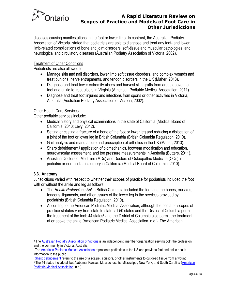

diseases causing manifestations in the foot or lower limb. In contrast, the Australian Podiatry Association of Victoriah stated that podiatrists are able to diagnose and treat any foot- and lower limb-related complications of bone and joint disorders, soft-tissue and muscular pathologies, and neurological and circulatory diseases (Australian Podiatry Association of Victoria, 2002).

#### Treatment of Other Conditions

Podiatrists are also allowed to:

- Manage skin and nail disorders, lower limb soft tissue disorders, and complex wounds and treat bunions, nerve entrapments, and tendon disorders in the UK (Maher, 2013).
- Diagnose and treat lower extremity ulcers and harvest skin grafts from areas above the foot and ankle to treat ulcers in Virginia (American Podiatric Medical Association, 2011).<sup>i</sup>
- Diagnose and treat foot injuries and infections from sports or other activities in Victoria, Australia (Australian Podiatry Association of Victoria, 2002).

#### **Other Health Care Services**

Other podiatric services include:

- Medical history and physical examinations in the state of California (Medical Board of California, 2010; Levy, 2012).
- Setting or casting a fracture of a bone of the foot or lower leg and reducing a dislocation of a joint of the foot or lower leg in British Columbia (British Columbia Regulation, 2010).
- Gait analysis and manufacture and prescription of orthotics in the UK (Maher, 2013).
- Sharp debridement, *i* application of biomechanics, footwear modification and education, neurovascular assessment, and toe pressure measurements in Australia (Butters, 2011).
- Assisting Doctors of Medicine (MDs) and Doctors of Osteopathic Medicine (ODs) in podiatric or non-podiatric surgery in California (Medical Board of California, 2010).

#### **3.3. Anatomy**

Jurisdictions varied with respect to whether their scopes of practice for podiatrists included the foot with or without the ankle and leg as follows:

- The *Health Professions Act* in British Columbia included the foot and the bones, muscles, tendons, ligaments, and other tissues of the lower leg in the services provided by podiatrists (British Columbia Regulation, 2010).
- According to the American Podiatric Medical Association, although the podiatric scopes of practice statutes vary from state to state, all 50 states and the District of Columbia permit the treatment of the foot; 44 states<sup>k</sup> and the District of Columbia also permit the treatment at or above the ankle (American Podiatric Medical Association, n.d.). The American

h Th[e Australian Podiatry Association of Victoria i](http://www.podiatryvic.com.au/Apoda/intro.htm)s an independent, member organization serving both the profession and the community in Victoria, Australia.

i <sup>i</sup> The [American Podiatric Medical Association](http://www.apma.org/workingforyou/content.cfm?ItemNumber=1207&navItemNumber=625) represents podiatrists in the US and provides foot and ankle health information to the public.

<sup>&</sup>lt;sup>j</sup> [Sharp debridement](http://medical-dictionary.thefreedictionary.com/debridement) refers to the use of a scalpel, scissors, or other instruments to cut dead tissue from a wound.

<sup>&</sup>lt;sup>k</sup> The 44 states include all but Alabama, Kansas, Massachusetts, Mississippi, New York, and South Carolina (<u>American</u> [Podiatric Medical Association,](https://www.apma.org/files/FileDownloads/primerforpolicymakers.pdf) n.d.).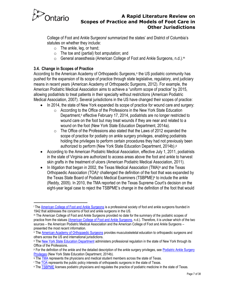

College of Foot and Ankle Surgeons' summarized the states' and District of Columbia's statutes on whether they include:

- o The ankle, leg, or hand;
- $\circ$  The toe and (partial) foot amputation; and
- o General anaesthesia (American College of Foot and Ankle Surgeons, n.d.).<sup>m</sup>

# <span id="page-6-0"></span>**3.4. Change in Scopes of Practice**

According to the American Academy of Orthopaedic Surgeons,<sup>n</sup> the US podiatric community has pushed for the expansion of its scope of practice through state legislative, regulatory, and judiciary means in recent years (American Academy of Orthopaedic Surgeons, 2012). For example, the American Podiatric Medical Association aims to achieve a "uniform scope of practice" by 2015, allowing podiatrists to treat patients in their specialty without restrictions (American Podiatric Medical Association, 2007). Several jurisdictions in the US have changed their scopes of practice:

- In 2014, the state of New York expanded its scope of practice for wound care and surgery:
	- o According to the Office of the Professions in the New York State Education Department,<sup>o</sup> effective February 17, 2014, podiatrists are no longer restricted to wound care on the foot but may treat wounds if they are near and related to a wound on the foot (New York State Education Department, 2014a).
	- $\circ$  The Office of the Professions also stated that the Laws of 2012 expanded the scope of practice for podiatry on ankle surgery privileges, enabling podiatrists holding the privileges to perform certain procedures they had not previously been authorized to perform (New York State Education Department, 2014b).
- According to the American Podiatric Medical Association, effective July 1, 2011, podiatrists in the state of Virginia are authorized to access areas above the foot and ankle to harvest skin grafts in the treatment of ulcers (American Podiatric Medical Association, 2011).
- In litigation that began in 2002, the Texas Medical Association (TMA)<sup>q</sup> and the Texas Orthopaedic Association (TOA)<sup>r</sup> challenged the definition of the foot that was expanded by the Texas State Board of Podiatric Medical Examiners (TSBPME)<sup>s</sup> to include the ankle (Reddy, 2005). In 2010, the TMA reported on the Texas Supreme Court's decision on the eight-year legal case to reject the TSBPME's change in the definition of the foot that would

<sup>l</sup> The [American College of Foot and Ankle Surgeons](http://www.acfas.org/About-Us/About-Us/) is a professional society of foot and ankle surgeons founded in 1942 that addresses the concerns of foot and ankle surgeons in the US.

<sup>m</sup> The American College of Foot and Ankle Surgeons provided no date for the summary of the podiatric scopes of practice from the statues [\(American College of Foot and Ankle Surgeons,](http://www.acfas.org/Health-Policy-and-Advocacy/Scope-of-Practice/State-Scope-of-Practice-Laws/) n.d.). Therefore, it is unclear which of the two sources – the American Podiatric Medical Association and the American College of Foot and Ankle Surgeons – presented the most recent information.

n The [American Academy of Orthopaedic Surgeons](http://www.aaos.org/about/about.asp) provides musculoskeletal education to orthopaedic surgeons and others across the US and international jurisdictions.

<sup>&</sup>lt;sup>o</sup> The [New York State Education Department](http://www.op.nysed.gov/aboutop.htm) administers professional regulation in the state of New York through its Office of the Professions.

**P For the definition of the ankle and the detailed description of the ankle surgery privileges, see Podiatric Ankle Surgery** [Privileges \(](http://www.op.nysed.gov/prof/pod/anklesurgery.htm)New York State Education Department, 2014b).

q Th[e TMA](http://www.texmed.org/Who_Is_TMA.aspx) represents the physicians and medical student members across the state of Texas.

Th[e TOA r](http://www.toa.org/)epresents the public policy interests of orthopaedic surgeons in the state of Texas.

<sup>&</sup>lt;sup>s</sup> The **TSBPME** licenses podiatric physicians and regulates the practice of podiatric medicine in the state of Texas.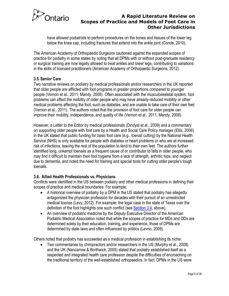

have allowed podiatrists to perform procedures on the bones and tissues of the lower leg below the knee cap, including fractures that extend into the ankle joint (Conde, 2010).

The American Academy of Orthopaedic Surgeons cautioned against the expanded scopes of practice for podiatry in some states by noting that all DPMs with or without post-graduate residency or surgical training are now legally allowed to treat ankles and lower legs, contributing to variations in the skills of licensed practitioners (American Academy of Orthopaedic Surgeons, 2012).

#### **3.5.Senior Care**

Two narrative reviews on podiatry by medical professionals and/or researchers in the UK reported that older people are afflicted with foot programs in greater proportions compared to younger people (Vernon et al., 2011; Mandy, 2008). Often associated with the musculoskeletal system, foot problems can affect the mobility of older people who may have already-reduced mobility or other medical problems affecting the foot, such as diabetes, and are unable to take care of their own feet (Vernon et al., 2011). The authors noted that the provision of foot care for older people can improve their mobility, independence, and quality of life (Vernon et al., 2011; Mandy, 2008).

However, a Letter to the Editor by medical professionals (Dindyal et al., 2009) and a commentary on supporting older people with foot care by a Health and Social Care Policy manager (Ellis, 2006) in the UK stated that public funding for basic foot care (e.g., toenail cutting) by the National Health Service (NHS) is only available for people with diabetes or heart problems or who are at increased risk of infections, leaving the rest of the population to tend to their own feet. The authors further identified long, unkempt toenails as a frequent cause of or contributor to falls in older people, who may find it difficult to maintain their foot hygiene from a lack of strength, arthritic hips, and neglect due to dementia, and noted the need for training and special tools for cutting older people's tough toenails.

#### **3.6. Allied Health Professionals vs. Physicians**

Conflicts were identified in the US between podiatry and other medical professions in defining their scopes of practice and medical boundaries. For example:

- A historical overview of podiatry by a DPM in the US stated that podiatry has allegedly antagonized the physician profession for decades with their pursuit of an unrestricted medical license (Levy, 2012). For example, the legal case in the state of Texas over the definition of the foot highlights one such conflict (see [Section 3.4,](#page-6-0) above).
- An overview of podiatric medicine by the Deputy Executive Director of the American Podiatric Medical Association noted that while the scopes of practice for MDs and ODs are determined solely by their education, training, and experience, those of DPMs are determined by state laws and often influenced by politics (Levrio, 2009).

Others noted that podiatry has succeeded as a medical profession in establishing its niche:

 Two commentaries by chiropractors and/or researchers in the US (Murphy et al., 2008) and the UK (Nancarrow & Borthwick, 2005) stated that podiatry established itself as a respected and integrated health care profession despite the difficulties of encroaching on the traditional territory of the well-established orthopaedics. In fact, DPMs in the US were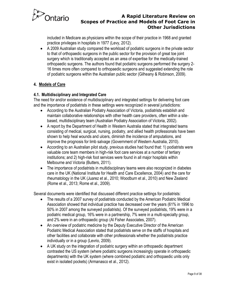

included in Medicare as physicians within the scope of their practice in 1968 and granted practice privileges in hospitals in 1977 (Levy, 2012).

 A 2009 Australian study compared the workload of podiatric surgeons in the private sector to that of orthopaedic surgeons in the public sector for the provision of great toe joint surgery which is traditionally accepted as an area of expertise for the medically-trained orthopaedic surgeons. The authors found that podiatric surgeons performed the surgery 2- 16 times more often compared to orthopaedic surgeons and suggested extending the role of podiatric surgeons within the Australian public sector (Gilheany & Robinson, 2009).

#### **4. Models of Care**

#### **4.1. Multidisciplinary and Integrated Care**

The need for and/or existence of multidisciplinary and integrated settings for delivering foot care and the importance of podiatrists in these settings were recognized in several jurisdictions:

- According to the Australian Podiatry Association of Victoria, podiatrists establish and maintain collaborative relationships with other health care providers, often within a sitebased, multidisciplinary team (Australian Podiatry Association of Victoria, 2002).
- A report by the Department of Health in Western Australia stated that integrated teams consisting of medical, surgical, nursing, podiatry, and allied health professionals have been shown to help heal wounds and ulcers, diminish the incidence of amputations, and improve the prognosis for limb salvage (Government of Western Australia, 2010).
- According to an Australian pilot study, previous studies had found that: 1) podiatrists were valuable core team members in high-risk foot care services at a number of tertiary institutions; and 2) high-risk foot services were found in all major hospitals within Melbourne and Victoria (Butters, 2011).
- The importance of podiatrists in multidisciplinary teams were also recognized in diabetes care in the UK (National Institute for Health and Care Excellence, 2004) and the care for rheumatology in the UK (Juarez et al., 2010; Woodburn et al., 2010) and New Zealand (Rome et al., 2013; Rome et al., 2009).

Several documents were identified that discussed different practice settings for podiatrists:

- The results of a 2007 survey of podiatrists conducted by the American Podiatric Medical Association showed that individual practice has decreased over the years (61% in 1996 to 50% in 2007 among the surveyed podiatrists). Of the surveyed podiatrists, 19% were in a podiatric medical group, 16% were in a partnership, 7% were in a multi-specialty group, and 2% were in an orthopaedic group (Al Fisher Associates, 2007).
- An overview of podiatric medicine by the Deputy Executive Director of the American Podiatric Medical Association stated that podiatrists serve on the staffs of hospitals and other facilities and collaborate with other professionals whether the podiatrists practice individually or in a group (Levrio, 2009).
- A UK study on the integration of podiatric surgery within an orthopaedic department contrasted the US system (where podiatric surgeons increasingly operate in orthopaedic departments) with the UK system (where combined podiatric and orthopaedic units only exist in isolated pockets) (Armanasco et al., 2012).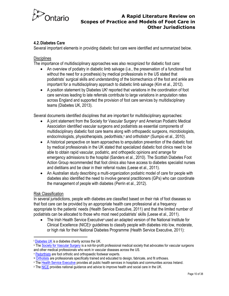

#### **4.2.Diabetes Care**

Several important elements in providing diabetic foot care were identified and summarized below.

#### **Disciplines**

The importance of multidisciplinary approaches was also recognized for diabetic foot care:

- An overview of podiatry in diabetic limb salvage (i.e., the preservation of a functional foot without the need for a prosthesis) by medical professionals in the US stated that podiatrists' surgical skills and understanding of the biomechanics of the foot and ankle are important for a multidisciplinary approach to diabetic limb salvage (Kim et al., 2012).
- A position statement by Diabetes UK<sup>t</sup> reported that variations in the coordination of foot care services leading to late referrals contribute to large variations in amputation rates across England and supported the provision of foot care services by multidisciplinary teams (Diabetes UK, 2013).

Several documents identified disciplines that are important for multidisciplinary approaches:

- A joint statement from the Society for Vascular Surgery<sup>u</sup> and American Podiatric Medical Association identified vascular surgeons and podiatrists as essential components of multidisciplinary diabetic foot care teams along with orthopaedic surgeons, microbiologists, endocrinologists, physiotherapists, pedorthists, and orthotists w (Sumpio et al., 2010).
- A historical perspective on team approaches to amputation prevention of the diabetic foot by medical professionals in the UK stated that specialized diabetic foot clinics need to be able to obtain rapid vascular, podiatric, and orthopedic opinions and arrange for emergency admissions to the hospital (Sanders et al., 2010). The Scottish Diabetes Foot Action Group recommended that foot clinics also have access to diabetes specialist nurses and dietitians and be clear in their referral routes (Leese et al., 2011).
- An Australian study describing a multi-organization podiatric model of care for people with diabetes also identified the need to involve general practitioners (GPs) who can coordinate the management of people with diabetes (Perrin et al., 2012).

#### Risk Classification

In several jurisdictions, people with diabetes are classified based on their risk of foot diseases so that foot care can be provided by an appropriate health care professional at a frequency appropriate to the patients' needs (Health Service Executive, 2011) and that the limited number of podiatrists can be allocated to those who most need podiatrists' skills (Leese et al., 2011).

• The Irish Health Service Executive<sup>x</sup> used an adapted version of the National Institute for Clinical Excellence (NICE)<sup>y</sup> guidelines to classify people with diabetes into low, moderate, or high risk for their National Diabetes Programme (Health Service Executive, 2011):

<sup>&</sup>lt;sup>t</sup> [Diabetes UK i](http://www.diabetes.org.uk/About_us/Who_we_are/)s a diabetes charity across the UK.

In Th[e Society for Vascular Surgery i](http://www.vascularweb.org/about/Pages/default.aspx)s a not-for-profit professional medical society that advocates for vascular surgeons and other medical professionals who work in vascular diseases across the US.

v [Pedorthists](http://www.pedorthic.ca/?) are foot orthotic and orthopaedic footwear experts.

<sup>w</sup> [Orthotists](http://www.sickkids.ca/childrensorthoticsclinic/who-we-are/certified-orthotist/index.html) are professionals specifically trained and educated to design, fabricate, and fit orthoses.

x Th[e Health Service Executive p](http://www.hse.ie/eng/)rovides all public health services in hospitals and communities across Ireland.

y Th[e NICE](http://www.nice.org.uk/aboutnice/whoweare/who_we_are.jsp) provides national guidance and advice to improve health and social care in the UK.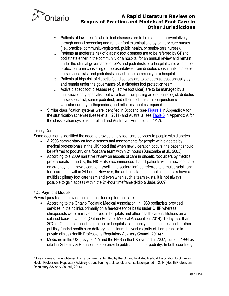

- $\circ$  Patients at low risk of diabetic foot diseases are to be managed preventatively through annual screening and regular foot examinations by primary care nurses (i.e., practice, community-registered, public health, or senior-care nurses).
- o Patients at moderate risk of diabetic foot diseases are to be referred by GPs to podiatrists either in the community or a hospital for an annual review and remain under the clinical governance of GPs and podiatrists or a hospital clinic with a foot protection team consisting of representatives from diabetes consultants, diabetes nurse specialists, and podiatrists based in the community or a hospital.
- $\circ$  Patients at high risk of diabetic foot diseases are to be seen at least annually by, and remain under the governance of, a diabetes foot protection team.
- $\circ$  Active diabetic foot diseases (e.g., active foot ulcer) are to be managed by a multidisciplinary specialist foot care team, comprising an endocrinologist, diabetes nurse specialist, senior podiatrist, and other podiatrists, in conjunction with vascular surgery, orthopaedics, and orthotics input as required.
- Similar classification systems were identified in Scotland (se[e Figure 1](#page-19-0) in Appendix A for the stratification scheme) (Leese et al., 2011) and Australia (se[e Table 3](#page-18-0) in Appendix A for the classification systems in Ireland and Australia) (Perrin et al., 2012).

#### Timely Care

Some documents identified the need to provide timely foot care services to people with diabetes.

- A 2003 commentary on foot diseases and assessments for people with diabetes by medical professionals in the UK noted that when new ulceration occurs, the patient should be referred to podiatry or a foot care team within 24 hours (Duncombe et al., 2003).
- According to a 2009 narrative review on models of care in diabetic foot ulcers by medical professionals in the UK, the NICE also recommended that all patients with a new foot care emergency (e.g., new ulceration, swelling, discoloration) be referred to a multidisciplinary foot care team within 24 hours. However, the authors stated that not all hospitals have a multidisciplinary foot care team and even when such a team exists, it is not always possible to gain access within the 24-hour timeframe (Ndip & Jude, 2009).

#### **4.3. Payment Models**

Several jurisdictions provide some public funding for foot care:

- According to the Ontario Podiatric Medical Association, in 1980 podiatrists provided services in their clinics primarily on a fee-for-service basis under OHIP whereas chiropodists were mainly employed in hospitals and other health care institutions on a salaried basis in Ontario (Ontario Podiatric Medical Association, 2014). Today less than 20% of Ontario chiropodists practice in hospitals, community health centres, and in other publicly-funded health care delivery institutions; the vast majority of them practice in private clinics (Health Professions Regulatory Advisory Council, 2014).<sup>2</sup>
- Medicare in the US (Levy, 2012) and the NHS in the UK (Kilmartin, 2002; Turbutt, 1994 as cited in Gilheany & Robinson, 2009) provide public funding for podiatry. In both countries,

<sup>z</sup> This information was obtained from a comment submitted by the Ontario Podiatric Medical Association to Ontario's Health Professions Regulatory Advisory Council during a stakeholder consultation period in 2014 (Health Professions Regulatory Advisory Council, 2014).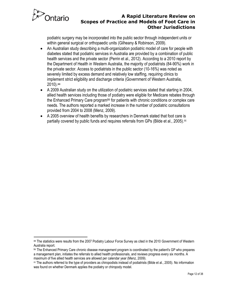

podiatric surgery may be incorporated into the public sector through independent units or within general surgical or orthopaedic units (Gilheany & Robinson, 2009).

- An Australian study describing a multi-organization podiatric model of care for people with diabetes stated that podiatric services in Australia are provided by a combination of public health services and the private sector (Perrin et al., 2012). According to a 2010 report by the Department of Health in Western Australia, the majority of podiatrists (84-90%) work in the private sector. Access to podiatrists in the public sector (10-16%) was noted as severely limited by excess demand and relatively low staffing, requiring clinics to implement strict eligibility and discharge criteria (Government of Western Australia, 2010). aa
- A 2009 Australian study on the utilization of podiatric services stated that starting in 2004, allied health services including those of podiatry were eligible for Medicare rebates through the Enhanced Primary Care programbb for patients with chronic conditions or complex care needs. The authors reported a marked increase in the number of podiatric consultations provided from 2004 to 2008 (Menz, 2009).
- A 2005 overview of health benefits by researchers in Denmark stated that foot care is partially covered by public funds and requires referrals from GPs (Bilde et al., 2005). $\infty$

aa The statistics were results from the 2007 Podiatry Labour Force Survey as cited in the 2010 Government of Western Australia report.

bb The Enhanced Primary Care chronic disease management program is coordinated by the patient's GP who prepares a management plan, initiates the referrals to allied health professionals, and reviews progress every six months. A maximum of five allied health services are allowed per calendar year (Menz, 2009).

 $\infty$  The authors referred to the type of providers as chiropodists instead of podiatrists (Bilde et al., 2005). No information was found on whether Denmark applies the podiatry or chiropody model.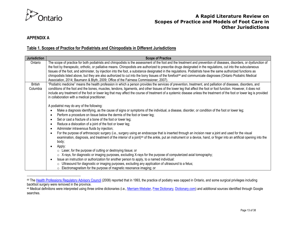

# **APPENDIX A**

#### **Table 1. Scopes of Practice for Podiatrists and Chiropodists in Different Jurisdictions**

<span id="page-12-0"></span>

| <b>Jurisdiction</b> | <b>Scope of Practice</b>                                                                                                                                                                                                                                                                                                                                                                                                                                                                                                                                                                                                                                                                                                                                                                                                                                                                                                                                                                                  |
|---------------------|-----------------------------------------------------------------------------------------------------------------------------------------------------------------------------------------------------------------------------------------------------------------------------------------------------------------------------------------------------------------------------------------------------------------------------------------------------------------------------------------------------------------------------------------------------------------------------------------------------------------------------------------------------------------------------------------------------------------------------------------------------------------------------------------------------------------------------------------------------------------------------------------------------------------------------------------------------------------------------------------------------------|
| Ontario             | The scope of practice for both podiatrists and chiropodists is the assessment of the foot and the treatment and prevention of diseases, disorders, or dysfunction of<br>the foot by therapeutic, orthotic, or palliative means. Chiropodists are authorized to prescribe drugs designated in the regulations, cut into the subcutaneous<br>tissues of the foot, and administer, by injection into the foot, a substance designated in the regulations. Podiatrists have the same authorized functions as<br>chiropodists listed above, but they are also authorized to cut into the bony tissues of the forefoot <sup>dd</sup> and communicate diagnoses (Ontario Podiatric Medical<br>Association, 2014; Baumann & Blyth, 2009; Office of the Fairness Commissioner, 2007).                                                                                                                                                                                                                              |
| <b>British</b>      | "Podiatric medicine" means the health profession in which a person provides the services of prevention, treatment, and palliation of diseases, disorders, and                                                                                                                                                                                                                                                                                                                                                                                                                                                                                                                                                                                                                                                                                                                                                                                                                                             |
| Columbia            | conditions of the foot and the bones, muscles, tendons, ligaments, and other tissues of the lower leg that affect the foot or foot function. However, it does not<br>include any treatment of the foot or lower leg that may affect the course of treatment of a systemic disease unless the treatment of the foot or lower leg is provided<br>in collaboration with a medical practitioner.                                                                                                                                                                                                                                                                                                                                                                                                                                                                                                                                                                                                              |
|                     | A podiatrist may do any of the following:<br>Make a diagnosis identifying, as the cause of signs or symptoms of the individual, a disease, disorder, or condition of the foot or lower leg;<br>Perform a procedure on tissue below the dermis of the foot or lower leg;<br>Set or cast a fracture of a bone of the foot or lower leg;<br>Reduce a dislocation of a joint of the foot or lower leg;<br>Administer intravenous fluids by injection;<br>For the purpose of arthroscopic surgery (i.e., surgery using an endoscope that is inserted through an incision near a joint and used for the visual<br>examination, diagnosis, and treatment of the interior of a joint) <sup>ee</sup> of the ankle, put an instrument or a device, hand, or finger into an artificial opening into the<br>body;<br>Apply:<br>$\circ$ Laser, for the purpose of cutting or destroying tissue; or<br>○ X-rays, for diagnostic or imaging purposes, excluding X-rays for the purpose of computerized axial tomography; |
|                     | Issue an instruction or authorization for another person to apply, to a named individual:<br>$\circ$ Ultrasound for diagnostic or imaging purposes, excluding any application of ultrasound to a fetus;<br>$\circ$ Electromagnetism for the purpose of magnetic resonance imaging; or                                                                                                                                                                                                                                                                                                                                                                                                                                                                                                                                                                                                                                                                                                                     |

dd Th[e Health Professions Regulatory Advisory Council](http://www.hprac.org/en/projects/resources/hprac-drug-ChiropodyPodiatryJurisdictionalReviewnov08.pdf) (2008) reported that in 1993, the practice of podiatry was capped in Ontario, and some surgical privileges including backfoot surgery were removed in the province.

ee Medical definitions were interpreted using three online dictionaries (i.e.[, Merriam-Webster,](http://www.merriam-webster.com/) [Free Dictionary,](http://www.thefreedictionary.com/) [Dictionary.com\)](http://dictionary.reference.com/) and additional sources identified through Google searches.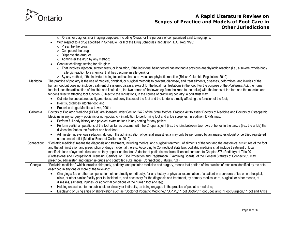

|             | $\circ$ X-rays for diagnostic or imaging purposes, including X-rays for the purpose of computerized axial tomography;                                                   |
|-------------|-------------------------------------------------------------------------------------------------------------------------------------------------------------------------|
|             | With respect to a drug specified in Schedule I or II of the Drug Schedules Regulation, B.C. Reg. 9/98:                                                                  |
|             | $\circ$ Prescribe the drug;                                                                                                                                             |
|             | $\circ$ Compound the drug;                                                                                                                                              |
|             | $\circ$ Dispense the drug; or                                                                                                                                           |
|             | $\circ$ Administer the drug by any method;                                                                                                                              |
|             | Conduct challenge testing for allergies:                                                                                                                                |
|             | ○ That involves injection, scratch tests, or inhalation, if the individual being tested has not had a previous anaphylactic reaction (i.e., a severe, whole-body        |
|             | allergic reaction to a chemical that has become an allergen); or                                                                                                        |
|             | $\circ$ By any method, if the individual being tested has had a previous anaphylactic reaction (British Columbia Regulation, 2010).                                     |
| Manitoba    | The practice of podiatry is the use of medical, physical, or surgical methods to prevent, diagnose, and treat ailments, diseases, deformities, and injuries of the      |
|             | human foot but does not include treatment of systemic disease, except for the local manifestations in the foot. For the purpose of the Podiatrists Act, the human       |
|             | foot includes the articulation of the tibia and fibula (i.e., the two bones of the lower leg from the knee to the ankle) with the bones of the foot and the muscles and |
|             | tendons directly affecting foot function. Subject to the regulations, in the course of practicing podiatry, a podiatrist may:                                           |
|             | Cut into the subcutaneous, ligamentous, and bony tissues of the foot and the tendons directly affecting the function of the foot;                                       |
|             | Inject substances into the foot; and                                                                                                                                    |
|             | Prescribe drugs (Manitoba Laws, 2001).                                                                                                                                  |
| California  | Doctors of Podiatric Medicine (DPMs) are licensed under Section 2472 of the State Medical Practice Act to assist Doctors of Medicine and Doctors of Osteopathic         |
|             | Medicine in any surgery – podiatric or non-podiatric – in addition to performing foot and ankle surgeries. In addition, DPMs may:                                       |
|             | Perform full-body history and physical examinations in any setting for any patient.                                                                                     |
|             | Perform partial amputations of the foot as far as proximal with the Chopart's joint (i.e., the joint between two rows of bones in the tarsus (i.e., the ankle) that     |
|             | divides the foot as the forefoot and backfoot).                                                                                                                         |
|             | Administer intravenous sedation, although the administration of general anaesthesia may only be performed by an anaesthesiologist or certified registered               |
|             | nurse anaesthetist (Medical Board of California, 2010).                                                                                                                 |
| Connecticut | "Podiatric medicine" means the diagnosis and treatment, including medical and surgical treatment, of ailments of the foot and the anatomical structures of the foot     |
|             | and the administration and prescription of drugs incidental thereto. According to Connecticut state law, podiatric medicine shall include treatment of local            |
|             | manifestations of systemic diseases as they appear on the foot. A doctor of podiatric medicine, licensed pursuant to Chapter 375 (Podiatry) of Title 20                 |
|             | (Professional and Occupational Licensing, Certification, Title Protection and Registration. Examining Boards) of the General Statutes of Connecticut, may               |
|             | prescribe, administer, and dispense drugs and controlled substances (Connecticut Statutes, n.d.).                                                                       |
| Georgia     | "Podiatric medicine," which includes chiropody, podiatry, and podiatric medicine and surgery, means that portion of the practice of medicine identified by the acts     |
|             | described in any one or more of the following:                                                                                                                          |
|             | Charging a fee or other compensation, either directly or indirectly, for any history or physical examination of a patient in a person's office or in a hospital,        |
|             | clinic, or other similar facility prior to, incident to, and necessary for the diagnosis and treatment, by primary medical care, surgical, or other means, of           |
|             | diseases, ailments, injuries, or abnormal conditions of the human foot and leg;                                                                                         |
|             | Holding oneself out to the public, either directly or indirectly, as being engaged in the practice of podiatric medicine;                                               |
|             | Displaying or using a title or abbreviation such as "Doctor of Podiatric Medicine," "D.P.M.," "Foot Doctor," "Foot Specialist," "Foot Surgeon," "Foot and Ankle         |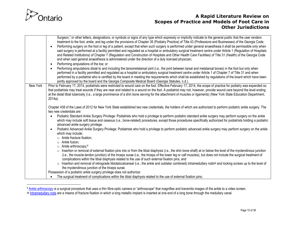

|          | Surgeon," or other letters, designations, or symbols or signs of any type which expressly or implicitly indicate to the general public that the user renders<br>treatment to the foot, ankle, and leg under the provisions of Chapter 35 (Podiatry Practice) of Title 43 (Professions and Businesses) of the Georgia Code;<br>Performing surgery on the foot or leg of a patient, except that when such surgery is performed under general anaesthesia it shall be permissible only when<br>said surgery is performed at a facility permitted and regulated as a hospital or ambulatory surgical treatment centre under Article 1 (Regulation of Hospitals<br>and Related Institutions) of Chapter 7 (Regulation and Construction of Hospitals and Other Health Care Facilities) of Title 31 (Health) of the Georgia Code<br>and when said general anaesthesia is administered under the direction of a duly licensed physician;<br>Performing amputations of the toe; or<br>$\bullet$<br>Performing amputations distal to and including the tarsometatarsal joint (i.e., the joint between tarsal and metatarsal bones) in the foot but only when |
|----------|----------------------------------------------------------------------------------------------------------------------------------------------------------------------------------------------------------------------------------------------------------------------------------------------------------------------------------------------------------------------------------------------------------------------------------------------------------------------------------------------------------------------------------------------------------------------------------------------------------------------------------------------------------------------------------------------------------------------------------------------------------------------------------------------------------------------------------------------------------------------------------------------------------------------------------------------------------------------------------------------------------------------------------------------------------------------------------------------------------------------------------------------------|
|          | performed in a facility permitted and regulated as a hospital or ambulatory surgical treatment centre under Article 1 of Chapter 7 of Title 31 and when<br>performed by a podiatrist who is certified by the board in meeting the requirements which shall be established by regulations of the board which have been<br>jointly approved by the board and the Georgia Composite Medical Board (Georgia Statutes, n.d.).                                                                                                                                                                                                                                                                                                                                                                                                                                                                                                                                                                                                                                                                                                                           |
| New York | Prior to February 17, 2014, podiatrists were restricted to wound care on the foot. Effective February 17, 2014, the scope of practice for podiatry was expanded so<br>that podiatrists may treat wounds if they are near and related to a wound on the foot. A podiatrist may not, however, provide wound care beyond the level ending<br>at the distal tibial tuberosity (i.e., a large prominence of a shin bone serving for the attachment of muscles or ligaments) (New York State Education Department,<br>2014a).                                                                                                                                                                                                                                                                                                                                                                                                                                                                                                                                                                                                                            |
|          | Chapter 438 of the Laws of 2012 for New York State established two new credentials, the holders of which are authorized to perform podiatric ankle surgery. The<br>two new credentials are:                                                                                                                                                                                                                                                                                                                                                                                                                                                                                                                                                                                                                                                                                                                                                                                                                                                                                                                                                        |
|          | Podiatric Standard Ankle Surgery Privilege: Podiatrists who hold a privilege to perform podiatric standard ankle surgery may perform surgery on the ankle<br>which may include soft tissue and osseous (i.e., bone-related) procedures, except those procedures specifically authorized for podiatrists holding a podiatric<br>advanced ankle surgery privilege.                                                                                                                                                                                                                                                                                                                                                                                                                                                                                                                                                                                                                                                                                                                                                                                   |
|          | Podiatric Advanced Ankle Surgery Privilege: Podiatrists who hold a privilege to perform podiatric advanced ankle surgery may perform surgery on the ankle<br>which may include:<br>o Ankle fracture fixation;<br>$\circ$ Ankle fusion;<br>○ Ankle arthroscopy; <sup>ff</sup>                                                                                                                                                                                                                                                                                                                                                                                                                                                                                                                                                                                                                                                                                                                                                                                                                                                                       |
|          | o Insertion or removal of external fixation pins into or from the tibial diaphysis (i.e., the shin bone shaft) at or below the level of the myotendinous junction<br>(i.e., the muscle-tendon junction) of the triceps surae (i.e., the triceps of the lower leg or calf muscles), but does not include the surgical treatment of<br>complications within the tibial diaphysis related to the use of such external fixation pins; and                                                                                                                                                                                                                                                                                                                                                                                                                                                                                                                                                                                                                                                                                                              |
|          | o Insertion and removal of retrograde tibiotalocalcaneal (i.e., the ankle and subtalar combined) intramedullary rods <sup>99</sup> and locking screws up to the level of<br>the myotendinous junction of the triceps surae.                                                                                                                                                                                                                                                                                                                                                                                                                                                                                                                                                                                                                                                                                                                                                                                                                                                                                                                        |
|          | Possession of a podiatric ankle surgery privilege does not authorize:                                                                                                                                                                                                                                                                                                                                                                                                                                                                                                                                                                                                                                                                                                                                                                                                                                                                                                                                                                                                                                                                              |
|          | The surgical treatment of complications within the tibial diaphysis related to the use of external fixation pins;                                                                                                                                                                                                                                                                                                                                                                                                                                                                                                                                                                                                                                                                                                                                                                                                                                                                                                                                                                                                                                  |

<sup>&</sup>lt;sup>ff</sup> [Ankle arthroscopy](http://www.aofas.org/footcaremd/treatments/Pages/Ankle-Arthroscopy.aspx) is a surgical procedure that uses a thin fibre-optic camera or "arthroscope" that magnifies and transmits images of the ankle to a video screen.

gg [Intramedullary rods a](http://www.med.wayne.edu/diagradiology/rsna2003/rods_and_nails_atlas.htm)re a means of fracture fixation in which a long metallic implant is inserted at one end of a long bone through the medullary canal.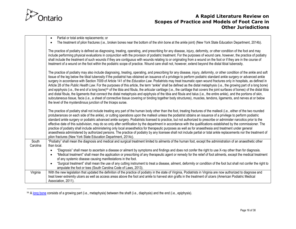

Partial or total ankle replacements; or

• The treatment of pilon fractures (i.e., broken bones near the bottom of the shin bone at the ankle joint) (New York State Education Department, 2014b).

The practice of podiatry is defined as diagnosing, treating, operating, and prescribing for any disease, injury, deformity, or other condition of the foot and may include performing physical evaluations in conjunction with the provision of podiatric treatment. For the purposes of wound care, however, the practice of podiatry shall include the treatment of such wounds if they are contiguous with wounds relating to or originating from a wound on the foot or if they are in the course of treatment of a wound on the foot within the podiatric scope of practice. Wound care shall not, however, extend beyond the distal tibial tuberosity.

The practice of podiatry may also include diagnosing, treating, operating, and prescribing for any disease, injury, deformity, or other condition of the ankle and soft tissue of the leg below the tibial tuberosity if the podiatrist has obtained an issuance of a privilege to perform podiatric standard ankle surgery or advanced ankle surgery in accordance with Section 7009 of Article 141 of the *Education Law*. Podiatrists may treat traumatic open wound fractures only in hospitals, as defined in Article 28 of the *Public Health Law*. For the purposes of this article, the term "ankle" shall be defined as the distal metaphysis (i.e., the growing part of a long bone) and epiphysis (i.e., the end of a long bone)<sup>hh</sup> of the tibia and fibula, the articular cartilage (i.e., the cartilage that covers the joint surfaces of bones) of the distal tibia and distal fibula, the ligaments that connect the distal metaphysis and epiphysis of the tibia and fibula and talus (i.e., the entire ankle), and the portions of skin, subcutaneous tissue, facia (i.e., a sheet of connective tissue covering or binding together body structures), muscles, tendons, ligaments, and nerves at or below the level of the myotendinous junction of the triceps surae.

The practice of podiatry shall not include treating any part of the human body other than the foot, treating fractures of the malleoli (i.e., either of the two rounded protuberances on each side of the ankle), or cutting operations upon the malleoli unless the podiatrist obtains an issuance of a privilege to perform podiatric standard ankle surgery or podiatric advanced ankle surgery. Podiatrists licensed to practice, but not authorized to prescribe or administer narcotics prior to the effective date of this subdivision, may do so only after certification by the department in accordance with the qualifications established by the commissioner. The practice of podiatry shall include administering only local anaesthetics for therapeutic purposes as well as for anaesthesia and treatment under general anaesthesia administered by authorized persons. The practice of podiatry by any licensee shall not include partial or total ankle replacements nor the treatment of pilon fractures (New York State Education Department, 2014c).

South Carolina "Podiatry" shall mean the diagnosis and medical and surgical treatment limited to ailments of the human foot, except the administration of an anaesthetic other than local.

"Diagnosis" shall mean to ascertain a disease or ailment by symptoms and findings and does not confer the right to use X-ray other than for diagnosis.

| "Medical treatment" shall mean the application or prescribing of any therapeutic agent or remedy for the relief of foot ailments, except the medical treatment |
|----------------------------------------------------------------------------------------------------------------------------------------------------------------|
| of any systemic disease causing manifestations in the foot.                                                                                                    |

 "Surgical treatment" shall mean the use of any cutting instrument to treat a disease, ailment, deformity or condition of the foot but shall not confer the right to amputate the foot or toes (South Carolina Code of Laws, 2013).

Virginia | With the new legislation that updated the definition of the practice of podiatry in the state of Virginia, Podiatrists in Virginia are now authorized to diagnose and treat lower extremity ulcers as well as access areas above the foot and ankle to harvest skin grafts in the treatment of ulcers (American Podiatric Medical Association, 2011).

hh A [long bone](http://www.thefreedictionary.com/metaphysis) consists of a growing part (i.e., metaphysis) between the shaft (i.e., diaphysis) and the end (i.e., epiphysis).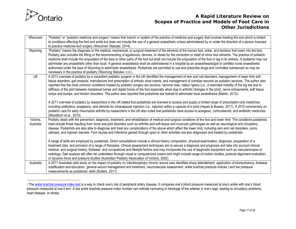

| Wisconsin | "Podiatry" or "podiatric medicine and surgery" means that branch or system of the practice of medicine and surgery that involves treating the sick which is limited                               |
|-----------|---------------------------------------------------------------------------------------------------------------------------------------------------------------------------------------------------|
|           | to conditions affecting the foot and ankle but does not include the use of a general anaesthetic unless administered by or under the direction of a person licensed                               |
|           | to practice medicine and surgery (Wisconsin Statutes, 2014).                                                                                                                                      |
| Wyoming   | "Podiatry" means the diagnosis or the medical, mechanical, or surgical treatment of the ailments of the human foot, ankle, and tendons that insert into the foot.                                 |
|           | Podiatry also includes the fitting or the recommending of appliances, devices, or shoes for the correction or relief of minor foot ailments. The practice of podiatric                            |
|           | medicine shall include the amputation of the toes or other parts of the foot but shall not include the amputation of the foot or leg in its entirety. A podiatrist may not                        |
|           | administer any anaesthetic other than local. A general anaesthesia shall be administered in a hospital by an anaesthesiologist or certified nurse anaesthetist                                    |
|           | authorized under the laws of Wyoming to administer anaesthesia. Podiatrists are permitted to use and prescribe drugs and controlled substances as may be                                          |
|           | necessary in the practice of podiatry (Wyoming Statutes, n.d.).                                                                                                                                   |
| UK        | A 2013 overview of podiatry by a consultant podiatric surgeon in the UK identified the management of skin and nail disorders, management of lower limb soft                                       |
|           | tissue disorders, gait analysis, manufacture and prescription of orthotic shoe inserts, and management of complex wounds as podiatric services. The author also                                   |
|           | reported that the most common conditions treated by podiatric surgery are bunions, hammer toes, hallux rigidus (i.e., a restricted mobility of the big toe due to                                 |
|           | stiffness of the joint between metatarsal bones and digital bones of the foot especially when due to arthritic changes in the joint), nerve entrapments, soft tissue                              |
|           | lumps and bumps, and tendon disorders. The author also reported that podiatrists are trained to administer local anaesthesia (Maher, 2013).                                                       |
|           |                                                                                                                                                                                                   |
|           | A 2011 overview of podiatry by researchers in the UK stated that podiatrists are licensed to access and supply a limited range of prescription-only medicines                                     |
|           | including antibiotics, analgesics, and steroids for intracapsular injection (i.e., injection within a capsule of a joint) (Hayes & Bussey, 2011). A 2010 commentary on                            |
|           | podiatric care for early rheumatoid arthritis by researchers in the UK also noted that podiatrists have access to analgesic, corticosteroid, and antibiotic medicines<br>(Woodburn et al., 2010). |
| Victoria, | Podiatry deals with the prevention, diagnosis, treatment, and rehabilitation of medical and surgical conditions of the foot and lower limb. The conditions podiatrists                            |
| Australia | treat include those resulting from bone and joint disorders such as arthritis and soft-tissue and muscular pathologies as well as neurological and circulatory                                    |
|           | disease. Podiatrists are also able to diagnose and treat any complications of the above which affect the lower limb, including skin and nail disorders, corns,                                    |
|           | calluses, and ingrown toenails. Foot injuries and infections gained through sport or other activities are also diagnosed and treated by podiatrists.                                              |
|           |                                                                                                                                                                                                   |
|           | A range of skills are employed by podiatrists. Direct consultations include a clinical history composition, physical examination, diagnosis, preparation of a                                     |
|           | treatment plan, and provision of a range of therapies. Clinical assessment techniques aim to secure a diagnosis and prognosis and take into account clinical,                                     |
|           | medical, and surgical history, footwear, and occupational and lifestyle factors and may incorporate the use of diagnostic equipment such as vascularscopes or                                     |
|           | radiology. Gait analysis will often be undertaken through visual or computerized means and might include range-of-motion studies, postural alignment evaluation,                                  |
|           | or dynamic force and pressure studies (Australian Podiatry Association of Victoria, 2002).                                                                                                        |
| Australia | A 2011 Australian pilot study on the impact of podiatry on interdisciplinary chronic wound care identified sharp debridement, application of biomechanics, footwear                               |
|           | modification and education, general wound management and treatment, neurovascular assessment, ankle brachial pressure indices, <sup>ii</sup> and toe pressure                                     |
|           | measurements as podiatrists' skills (Butters, 2011).                                                                                                                                              |

<sup>&</sup>quot; The [ankle brachial pressure index test](http://www.mayoclinic.org/tests-procedures/ankle-brachial-index/basics/definition/prc-20014625) is a way to check one's risk of peripheral artery disease. It compares one's blood pressure measured at one's ankle with one's blood pressure measured at one's arm. A low ankle brachial pressure index number can indicate narrowing or blockage of the arteries in one's legs, leading to circulatory problems, heart disease, or stroke.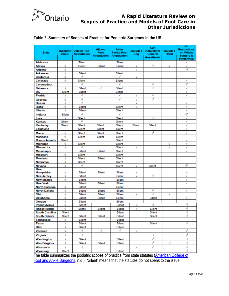

# <span id="page-17-0"></span>**Table 2. Summary of Scopes of Practice for Podiatric Surgeons in the US**

| <b>State</b>                | Includes<br>Ankle | <b>Allows Toe</b><br><b>Amputation</b> | <b>Allows</b><br>Foot<br><b>Amputation</b> | <b>Allow</b><br><b>Partial Foot</b><br>Amputation | <b>Includes</b><br>Leg | Can<br><b>Administer</b><br>General<br><b>Anesthesia</b> | <b>Includes</b><br>Hand | <b>No</b><br><b>Restrictions</b><br>on Where<br>Surgery is<br>Performed |
|-----------------------------|-------------------|----------------------------------------|--------------------------------------------|---------------------------------------------------|------------------------|----------------------------------------------------------|-------------------------|-------------------------------------------------------------------------|
| Alabama                     |                   | Silent                                 |                                            | Silent                                            |                        |                                                          |                         | v                                                                       |
| Alaska                      | √                 | Silent                                 | Silent                                     | Silent                                            | √                      | √                                                        | √                       | √                                                                       |
| Arizona                     | √                 |                                        |                                            |                                                   | √                      |                                                          |                         | √                                                                       |
| <b>Arkansas</b>             | √                 | Silent                                 |                                            | Silent                                            |                        |                                                          |                         |                                                                         |
| California                  | √                 | V                                      |                                            | V                                                 | √                      |                                                          |                         |                                                                         |
| Colorado                    | √                 | Silent                                 |                                            | Silent                                            |                        |                                                          |                         | √                                                                       |
| <b>Connecticut</b>          |                   |                                        |                                            | √                                                 |                        | √                                                        |                         | $\sqrt{\phantom{a}}$                                                    |
| <b>Delaware</b>             | √                 | Silent                                 | √                                          | Silent                                            |                        | √                                                        |                         | √                                                                       |
| DC                          | Silent            | Silent                                 |                                            | Silent                                            |                        |                                                          |                         | √                                                                       |
| <b>Florida</b>              | √                 | √                                      |                                            | V                                                 | √                      | V                                                        |                         | √                                                                       |
| Georgia                     | √                 | √                                      |                                            | √                                                 | √                      | $\sqrt{3}$                                               |                         |                                                                         |
| Hawaii                      | √                 | √                                      |                                            |                                                   | √                      |                                                          |                         | √                                                                       |
| Idaho                       | √                 | Silent                                 |                                            | Silent                                            | V                      |                                                          |                         | √                                                                       |
| <b>Illinois</b>             | √                 | Silent                                 |                                            | Silent                                            |                        |                                                          |                         | √                                                                       |
| Indiana                     | Silent            | √                                      |                                            | √                                                 |                        |                                                          |                         | $\sqrt{2}$                                                              |
| lowa                        |                   | Silent                                 |                                            | Silent                                            |                        | √                                                        |                         | √                                                                       |
| Kansas                      | Silent            |                                        |                                            | Silent                                            |                        |                                                          |                         | √                                                                       |
| Kentucky                    | Silent            | Silent                                 | Silent                                     | Silent                                            | Silent                 | Silent                                                   |                         | √                                                                       |
| Louisiana                   |                   | Silent                                 | Silent                                     | Silent                                            |                        |                                                          |                         | √                                                                       |
|                             | √                 |                                        |                                            |                                                   |                        | $\sqrt{ }$                                               |                         | $\vec{\mathbf{v}}$                                                      |
| <b>Maine</b>                |                   | Silent                                 | Silent                                     | Silent                                            |                        |                                                          |                         |                                                                         |
| Maryland                    | √<br>Silent       | Silent                                 | Silent                                     | Silent<br>Silent                                  |                        |                                                          |                         | √                                                                       |
| <b>Massachusetts</b>        | ٧                 | Silent                                 |                                            | Silent                                            |                        |                                                          | N                       | √                                                                       |
| Michigan                    | √                 |                                        |                                            |                                                   | √                      |                                                          | √                       | √                                                                       |
| Minnesota                   |                   | Silent                                 | Silent                                     | Silent<br>Silent                                  |                        |                                                          |                         | √                                                                       |
| Mississippi<br>Missouri     | √                 | Silent                                 |                                            | Silent                                            |                        |                                                          |                         |                                                                         |
| Montana                     | √                 | Silent                                 | Silent                                     |                                                   |                        |                                                          |                         |                                                                         |
| <b>Nebraska</b>             | √                 |                                        |                                            | Silent                                            |                        |                                                          |                         |                                                                         |
|                             |                   | Silent                                 |                                            | Silent                                            |                        |                                                          |                         | $\sqrt{2}$                                                              |
| <b>Nevada</b><br><b>New</b> | √                 | √                                      |                                            | Silent                                            | √                      | Silent                                                   |                         |                                                                         |
| Hampshire                   | √                 | Silent                                 | Silent                                     | Silent                                            | ٧                      |                                                          |                         | V                                                                       |
| <b>New Jersey</b>           | √                 | Silent                                 |                                            | Silent                                            |                        | √                                                        |                         | √                                                                       |
| <b>New Mexico</b>           | √                 | Silent                                 |                                            | Silent                                            |                        |                                                          |                         | √                                                                       |
| <b>New York</b>             |                   | Silent                                 | Silent                                     | Silent                                            |                        |                                                          |                         | √                                                                       |
| <b>North Carolina</b>       | √                 | Silent                                 |                                            | Silent                                            |                        |                                                          |                         |                                                                         |
| <b>North Dakota</b>         | √                 | Silent                                 | Silent                                     | Silent                                            |                        | √                                                        |                         | √                                                                       |
| Ohio                        | √                 | Silent                                 | Silent                                     | Silent                                            | √                      | √                                                        | √                       |                                                                         |
| Oklahoma                    | √                 | Silent                                 | Silent                                     | Silent                                            |                        | Silent                                                   |                         | √                                                                       |
| Oregon                      | √                 | Silent                                 |                                            | Silent                                            |                        |                                                          |                         |                                                                         |
| Pennsylvania                |                   | Silent                                 |                                            | Silent                                            |                        |                                                          |                         | ٧                                                                       |
| <b>Rhode Island</b>         | √                 | Silent                                 | Silent                                     | Silent                                            | √                      | Silent                                                   |                         | √                                                                       |
| South Carolina              | Silent            |                                        |                                            | Silent                                            |                        | Silent                                                   |                         |                                                                         |
| South Dakota                | Silent            | Silent                                 | Silent                                     | Silent                                            |                        | Silent                                                   |                         | √                                                                       |
| Tennessee                   | v                 | Silent                                 |                                            | Silent                                            |                        |                                                          |                         |                                                                         |
| Texas                       | √                 | Silent                                 |                                            | Silent                                            |                        | Silent                                                   |                         | √                                                                       |
| Utah                        | √                 | Silent                                 |                                            | Silent                                            |                        |                                                          |                         |                                                                         |
| Vermont                     | √                 | √                                      | √                                          | √                                                 | √                      |                                                          |                         | √                                                                       |
| Virginia                    | √                 | √                                      |                                            |                                                   |                        | √                                                        |                         | $\sqrt{\phantom{a}}$                                                    |
|                             | √                 |                                        |                                            |                                                   |                        | $\sqrt{3}$                                               |                         | √                                                                       |
| Washington                  |                   | Silent                                 |                                            | Silent                                            |                        | √°                                                       |                         |                                                                         |
| <b>West Virginia</b>        | √                 | Silent                                 | Silent                                     | Silent                                            |                        |                                                          | √                       | √                                                                       |
| Wisconsin                   | √                 | √                                      |                                            |                                                   | √                      | $\sqrt{ }$                                               |                         | √                                                                       |
| Wyoming                     | Silent            | $\mathbf{a}$ and $\mathbf{a}$          |                                            | Silent                                            |                        |                                                          |                         | √                                                                       |

The table summarizes the podiatric scopes of practice from state statutes (American College of [Foot and Ankle Surgeons,](http://www.acfas.org/Health-Policy-and-Advocacy/Scope-of-Practice/State-Scope-of-Practice-Laws/) n.d.). "Silent" means that the statutes do not speak to the issue.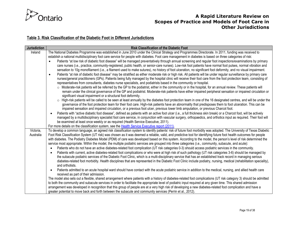

# **Table 3. Risk Classification of the Diabetic Foot in Different Jurisdictions**

<span id="page-18-0"></span>

| <b>Jurisdiction</b> | <b>Risk Classification of the Diabetic Foot</b>                                                                                                                                                                                                                                                                         |
|---------------------|-------------------------------------------------------------------------------------------------------------------------------------------------------------------------------------------------------------------------------------------------------------------------------------------------------------------------|
| Ireland             | The National Diabetes Programme was established in June 2010 under the Clinical Strategy and Programmes Directorate. In 2011, funding was received to                                                                                                                                                                   |
|                     | establish a national multidisciplinary foot care service for people with diabetes. Foot care management in diabetes is based on three categories of risk:                                                                                                                                                               |
|                     | Patients "at low risk of diabetic foot disease" will be managed preventatively through annual screening and regular foot inspections/examinations by primary<br>$\bullet$                                                                                                                                               |
|                     | care nurses (i.e., practice, community-registered, public health, or senior-care nurses). Low-risk foot patients have normal foot pulses, normal vibration and                                                                                                                                                          |
|                     | sensation to 10g monofilament (i.e., a filament used to make sutures), no history of foot ulceration, no significant foot deformity, and no visual impairment.                                                                                                                                                          |
|                     | Patients "at risk of diabetic foot disease" may be stratified as either moderate risk or high risk. All patients will be under regular surveillance by primary care<br>$\bullet$                                                                                                                                        |
|                     | nurses/general practitioners (GPs). Patients being fully managed by the hospital clinic will receive their foot care from the foot protection team, consisting of<br>representatives from consultants, diabetes nurse specialists, and podiatrists based in the community or hospital.                                  |
|                     | o Moderate-risk patients will be referred by the GP to the podiatrist, either in the community or in the hospital, for an annual review. These patients will                                                                                                                                                            |
|                     | remain under the clinical governance of the GP and podiatrist. Moderate-risk patients have either impaired peripheral sensation or impaired circulation or                                                                                                                                                              |
|                     | significant visual impairment or a structural foot deformity.                                                                                                                                                                                                                                                           |
|                     | ○ High-risk patients will be called to be seen at least annually by the diabetes foot protection team in one of the 16 designated centres, and will be under the                                                                                                                                                        |
|                     | governance of the foot protection team for their foot care. High-risk patients have an abnormality that predisposes them to foot ulceration. This can be                                                                                                                                                                |
|                     | impaired sensation and impaired circulation, or a previous foot ulcer, previous lower limb amputation, or previous Charcot foot.                                                                                                                                                                                        |
|                     | Patients with "active diabetic foot disease", defined as patients with an active foot ulcer (i.e., a full thickness skin break) or a Charcot foot, will be actively                                                                                                                                                     |
|                     | managed by a multidisciplinary specialist foot care service, in conjunction with vascular surgery, orthopaedics, and orthotics input as required. Their foot will                                                                                                                                                       |
|                     | be examined at least once weekly or as required (Health Service Executive, 2011).                                                                                                                                                                                                                                       |
|                     | For more details on the classification system, see the Health Service Executive report (2011).                                                                                                                                                                                                                          |
| Victoria,           | To develop a common language, an agreed risk classification system to identify patients' risk of future foot morbidity was adopted. The University of Texas Diabetic                                                                                                                                                    |
| Australia           | Foot Risk Classification System (UT risk) was chosen as it was deemed a reliable, valid, and predictive tool for identifying future foot health outcomes for people                                                                                                                                                     |
|                     | with diabetes. The Podiatry Diabetes Model (PDM) of care was developed based on this system. According to the model, the person's level of risk determined the<br>service most appropriate. Within the model, the multiple podiatric services are grouped into three categories (i.e., community, subacute, and acute): |
|                     | Patients who do not have an active diabetes-related foot complication (UT risk categories 0-3) should access podiatric services in the community.                                                                                                                                                                       |
|                     | Patients with current, active diabetes-related foot complications or who were at high risk of such pathology (UT risk categories 3-6) should be managed by                                                                                                                                                              |
|                     | the subacute podiatric services of the Diabetic Foot Clinic, which is a multi-disciplinary service that has an established track record in managing serious                                                                                                                                                             |
|                     | diabetes-related foot morbidity. Health disciplines that are represented in the Diabetic Foot Clinic include podiatry, nursing, medical (rehabilitation speciality),                                                                                                                                                    |
|                     | and orthotists.                                                                                                                                                                                                                                                                                                         |
|                     | Patients admitted to an acute hospital ward should have contact with the acute podiatric service in addition to the medical, nursing, and allied health care<br>$\bullet$                                                                                                                                               |
|                     | received as part of their admission.                                                                                                                                                                                                                                                                                    |
|                     | The model also sets out a flexible, shared arrangement where patients with a history of diabetes-related foot complications (UT risk category 3) should be admitted                                                                                                                                                     |
|                     | to both the community and subacute services in order to facilitate the appropriate level of podiatric input required at any given time. This shared admission                                                                                                                                                           |
|                     | arrangement was developed in recognition that this group of people are at a very high risk of developing a new diabetes-related foot complication and have a                                                                                                                                                            |
|                     | greater potential to move back and forth between the subacute and community services (Perrin et al., 2012).                                                                                                                                                                                                             |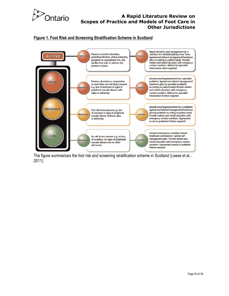

#### <span id="page-19-0"></span>**Figure 1. Foot Risk and Screening Stratification Scheme in Scotland**



The figure summarizes the foot risk and screening stratification scheme in Scotland (Leese et al., 2011).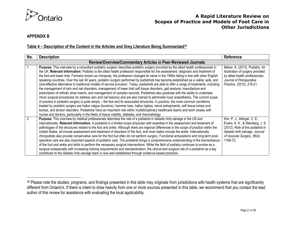

#### **APPENDIX B**

#### **Table 4 – Description of the Content in the Articles and Grey Literature Being Summarized**<sup>36</sup>

<span id="page-20-0"></span>

| No.            | <b>Description</b>                                                                                                                                                                                                                                                                                                                                                                                                                                                                                                                                                                                                                                                                                                                                                                                                                                                                                                                                                                                                                                                                                                                                                                                                                                                                                                                                                                                                                                                                                                                                                                                                                 | Reference                                                                                                                                                                          |  |  |  |  |
|----------------|------------------------------------------------------------------------------------------------------------------------------------------------------------------------------------------------------------------------------------------------------------------------------------------------------------------------------------------------------------------------------------------------------------------------------------------------------------------------------------------------------------------------------------------------------------------------------------------------------------------------------------------------------------------------------------------------------------------------------------------------------------------------------------------------------------------------------------------------------------------------------------------------------------------------------------------------------------------------------------------------------------------------------------------------------------------------------------------------------------------------------------------------------------------------------------------------------------------------------------------------------------------------------------------------------------------------------------------------------------------------------------------------------------------------------------------------------------------------------------------------------------------------------------------------------------------------------------------------------------------------------------|------------------------------------------------------------------------------------------------------------------------------------------------------------------------------------|--|--|--|--|
|                | Review/Overview/Commentary Articles in Peer-Reviewed Journals                                                                                                                                                                                                                                                                                                                                                                                                                                                                                                                                                                                                                                                                                                                                                                                                                                                                                                                                                                                                                                                                                                                                                                                                                                                                                                                                                                                                                                                                                                                                                                      |                                                                                                                                                                                    |  |  |  |  |
|                | Purpose: This overview by a consultant podiatric surgeon describes podiatric surgery provided by the allied health professionals in<br>the UK. Relevant Information: Podiatry is the allied health profession responsible for the assessment, diagnosis and treatment of<br>the foot and lower limb. Formerly known as chiropody, the profession changed its name in the 1990s falling in line with other English<br>speaking countries. Over the last 40 years, podiatric surgery performed by podiatrists has become established as a viable, safe, and<br>cost-effective alternative to traditional models of service provision. Today, podiatrists are able to offer a range of treatments, including<br>the management of skin and nail disorders, management of lower limb soft tissue disorders, gait analysis, manufacture and<br>prescription of orthotic shoe inserts, and management of complex wounds. Podiatrists also graduate with the ability to undertake<br>minor surgical procedures (to address skin and nail lesions) and are also trained to administer local anaesthetics. The current scope<br>of practice in podiatric surgery is quite simply – the foot and its associated structures. In practice, the most common conditions<br>treated by podiatric surgery are hallux valgus (bunions), hammer toes, hallux rigidus, nerve entrapments, soft tissue lumps and<br>bumps, and tendon disorders. Podiatrists have an important role within multidisciplinary healthcare teams and work closely with<br>nurses and doctors, particularly in the fields of tissue viability, diabetes, and rheumatology. | Maher, A. (2013). Podiatry: An<br>illustration of surgery provided<br>by allied health professionals.<br>Journal of Perioperative<br>Practice, 23(10), 218-21.                     |  |  |  |  |
| $\overline{2}$ | Purpose: This overview by medical professionals describes the role of a podiatrist in diabetic limb salvage in the US and<br>internationally. Relevant Information: A podiatrist is a limited scope physician with expertise in the assessment and treatment of<br>pathologies of the structures related to the foot and ankle. Although there are regional differences in the scope of practice within the<br>United States, all include assessment and treatment of disorders of the foot, and most states include the ankle. Internationally,<br>chiropodists also provide conservative care for the foot but often do not perform surgery. Functional amputations and long-term post-<br>operative care are also important aspects of podiatric care. The podiatrist brings a comprehensive understanding of the biomechanics<br>of the foot and ankle and skills to perform the necessary surgical interventions. While the field of podiatry continues to evolve as a<br>surgical subspecialty with increasing training requirements and standardization, the clinical and surgical role of a podiatrist as a key<br>contributor to the diabetic limb salvage team is now well established through evidence-based practices.                                                                                                                                                                                                                                                                                                                                                                                                 | Kim, P. J., Attinger, C. E.,<br>Evans, K. K., & Steinberg, J. S.<br>(2012). Role of the podiatrist in<br>diabetic limb salvage. Journal<br>of Vascular Surgery, 56(4),<br>1168-72. |  |  |  |  |

<sup>36</sup> Please note the studies, programs, and findings presented in this table may originate from jurisdictions with health systems that are significantly different from Ontario's. If there is intent to draw heavily from one or more sources presented in this table, we recommend that you contact the lead author of this review for assistance with evaluating the local applicability.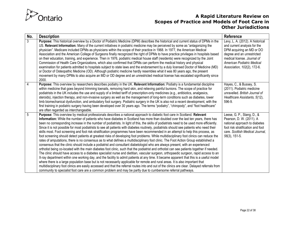

| No.            | <b>Description</b>                                                                                                                                                                                                                                                                                                                                                                                                                                                                                                                                                                                                                                                                                                                                                                                                                                                                                                                                                                                                                                                                                                                                                                                                                                                                                                                                                                                                                                                                                                                                                                                                                                                                                                                                                                                                                                                                                                                                      | Reference                                                                                                                                                                                                               |
|----------------|---------------------------------------------------------------------------------------------------------------------------------------------------------------------------------------------------------------------------------------------------------------------------------------------------------------------------------------------------------------------------------------------------------------------------------------------------------------------------------------------------------------------------------------------------------------------------------------------------------------------------------------------------------------------------------------------------------------------------------------------------------------------------------------------------------------------------------------------------------------------------------------------------------------------------------------------------------------------------------------------------------------------------------------------------------------------------------------------------------------------------------------------------------------------------------------------------------------------------------------------------------------------------------------------------------------------------------------------------------------------------------------------------------------------------------------------------------------------------------------------------------------------------------------------------------------------------------------------------------------------------------------------------------------------------------------------------------------------------------------------------------------------------------------------------------------------------------------------------------------------------------------------------------------------------------------------------------|-------------------------------------------------------------------------------------------------------------------------------------------------------------------------------------------------------------------------|
| 3              | Purpose: This historical overview by a Doctor of Podiatric Medicine (DPM) describes the historical and current status of DPMs in the<br>US. Relevant Information: Many of the current initiatives in podiatric medicine may be perceived by some as "antagonizing the<br>physician". Medicare included DPMs as physicians within the scope of their practice in 1968. In 1977, the American Medical<br>Association and the American College of Surgeons finally recognized the right of DPMs to have practice privileges in hospitals based<br>on their education, training, and experience. Then in 1976, podiatric medical house staff (residents) were recognized by the Joint<br>Commission of Health Care Organizations, which also confirmed that DPMs can perform the medical history and physical<br>examination for patients admitted to hospitals subject to state laws and the endorsement by a duly licensed Doctor of Medicine (MD)<br>or Doctor of Osteopathic Medicine (OD). Although podiatric medicine hardly resembles what it was 80 years ago, the present<br>movement by many DPMs to also acquire an MD or OD degree and an unrestricted medical license has escalated significantly since<br>2000.                                                                                                                                                                                                                                                                                                                                                                                                                                                                                                                                                                                                                                                                                                                               | Levy, L. A. (2012). A historical<br>and current analysis for the<br>DPM acquiring an MD or DO<br>degree and an unrestricted<br>medical license. Journal of<br>American Podiatric Medical<br>Association, 102(2), 172-6. |
| $\overline{4}$ | Purpose: This overview by researchers describes podiatry in the UK. Relevant Information: Podiatry is a fundamental discipline<br>within medicine that goes beyond trimming toenails, removing hard skin, and relieving painful bunions. The scope of practice for<br>podiatrists in the UK includes the use and supply of a limited tariff of prescription-only medicines (e.g., antibiotics, analgesics,<br>steroids), injection therapy, and non-invasive surgery as well as the management of long-term conditions such as diabetes, lower<br>limb biomechanical dysfunction, and ambulatory foot surgery. Podiatric surgery in the UK is also not a recent development, with the<br>first training in podiatric surgery having been developed over 30 years ago. The terms "podiatry", "chiropody", and "foot healthcare"<br>are often regarded as interchangeable.                                                                                                                                                                                                                                                                                                                                                                                                                                                                                                                                                                                                                                                                                                                                                                                                                                                                                                                                                                                                                                                                                | Hayes, C., & Bussey, S.<br>(2011). Podiatric medicine<br>unravelled. British Journal of<br>Healthcare Assistants, 5(12),<br>596-9.                                                                                      |
| $\overline{5}$ | Purpose: This overview by medical professionals describes a national approach to diabetic foot care in Scotland. Relevant<br>Information: While the number of patients who have diabetes in Scotland has more than doubled over the last ten years, there has<br>been no corresponding increase in the number of podiatrists. In light of this, the skills of podiatrists need to be used more efficiently.<br>Since it is not possible for most podiatrists to see all patients with diabetes routinely, podiatrists should see patients who need their<br>skills most. Foot screening and foot risk stratification programmes have been recommended in an attempt to help this process, as<br>foot screening should detect patients at greatest risks of developing foot problems. While multidisciplinary foot clinics can reduce the<br>rates of amputations, there is no consensus as to what defines a multidisciplinary foot clinic. The Foot Action Group established a<br>consensus that the clinic should include a podiatrist and consultant diabetologist who are always present, with an experienced<br>orthotist being co-located with the main diabetes foot clinic, such that the podiatrist and orthotist can see patients together if needed.<br>The clinic should have access to a diabetes specialist nurse and dietitian, vascular surgeon, orthopaedic surgeon, rapid access to an<br>X-ray department within one working day, and the facility to admit patients at any time. It became apparent that this is a useful model<br>where there is a large population base but is not necessarily applicable for remote and rural areas. It is also important that<br>multidisciplinary foot clinics are easily accessed and that the referral routes into and out of the clinics are clear. Delayed referrals from<br>community to specialist foot care are a common problem and may be partly due to cumbersome referral pathways. | Leese, G. P., Stang, D., &<br>Pearson, D. W. (2011). A<br>national approach to diabetes<br>foot risk stratification and foot<br>care. Scottish Medical Journal,<br>$56(3)$ , 151-5.                                     |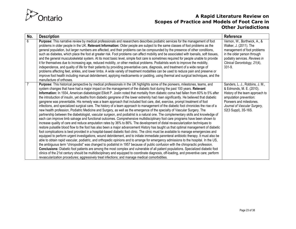

| No.            | <b>Description</b>                                                                                                                                                                                                                                                                                                                                                                                                                                                                                                                                                                                                                                                                                                                                                                                                                                                                                                                                                                                                                                                                                                                                                                                                                                                                                                                                                                                                                                                                                                                                                                                                                                                                                                                                                                                                                                                                                                                                                                                                                                                                                                                                                                                                                                                                                                                                                                                                                                     | Reference                                                                                                                                                                                                    |
|----------------|--------------------------------------------------------------------------------------------------------------------------------------------------------------------------------------------------------------------------------------------------------------------------------------------------------------------------------------------------------------------------------------------------------------------------------------------------------------------------------------------------------------------------------------------------------------------------------------------------------------------------------------------------------------------------------------------------------------------------------------------------------------------------------------------------------------------------------------------------------------------------------------------------------------------------------------------------------------------------------------------------------------------------------------------------------------------------------------------------------------------------------------------------------------------------------------------------------------------------------------------------------------------------------------------------------------------------------------------------------------------------------------------------------------------------------------------------------------------------------------------------------------------------------------------------------------------------------------------------------------------------------------------------------------------------------------------------------------------------------------------------------------------------------------------------------------------------------------------------------------------------------------------------------------------------------------------------------------------------------------------------------------------------------------------------------------------------------------------------------------------------------------------------------------------------------------------------------------------------------------------------------------------------------------------------------------------------------------------------------------------------------------------------------------------------------------------------------|--------------------------------------------------------------------------------------------------------------------------------------------------------------------------------------------------------------|
| 6              | Purpose: This narrative review by medical professionals and researchers describes podiatric services for the management of foot<br>problems in older people in the UK. Relevant Information: Older people are subject to the same classes of foot problems as the<br>general population, but larger numbers are affected, and their problems can be compounded by the presence of other conditions,<br>such as diabetes, which place the foot at greater risk. Foot problems can affect mobility and be associated with toenails, soft tissues,<br>and the general musculoskeletal system. At its most basic level, simple foot care is sometimes required for people unable to provide<br>it for themselves due to increasing age, reduced mobility, or other medical problems. Podiatrists work to improve the mobility,<br>independence, and quality of life for their patients by providing preventative care, diagnosis, and treatment of a wide range of<br>problems affecting feet, ankles, and lower limbs. A wide variety of treatment modalities can be used to reduce pain and preserve or<br>improve foot health including manual debridement, applying medicaments or padding, using thermal and surgical techniques, and the<br>manufacture of orthoses.                                                                                                                                                                                                                                                                                                                                                                                                                                                                                                                                                                                                                                                                                                                                                                                                                                                                                                                                                                                                                                                                                                                                                                                 | Vernon, W., Borthwick, A., &<br>Walker, J. (2011). The<br>management of foot problems<br>in the older person through<br>podiatry services. Reviews in<br>Clinical Gerontology, 21(4),<br>331-9.              |
| $\overline{7}$ | Purpose: This historical perspective by medical professionals in the UK highlights some of the pioneers, milestones, teams, and<br>system changes that have had a major impact on the management of the diabetic foot during the past 100 years. Relevant<br>Information: In 1934, American diabetologist Elliott P. Joslin noted that mortality from diabetic coma had fallen from 60% to 5% after<br>the introduction of insulin, yet deaths from diabetic gangrene of the lower extremity had risen significantly. He believed that diabetic<br>gangrene was preventable. His remedy was a team approach that included foot care, diet, exercise, prompt treatment of foot<br>infections, and specialized surgical care. The history of a team approach to management of the diabetic foot chronicles the rise of a<br>new health profession, Podiatric Medicine and Surgery, as well as the emergence of the specialty of Vascular Surgery. The<br>partnership between the diabetologist, vascular surgeon, and podiatrist is a natural one. The complementary skills and knowledge of<br>each can improve limb salvage and functional outcomes. Comprehensive multidisciplinary foot care programs have been shown to<br>increase quality of care and reduce amputation rates by 36% to 86%. The development of distal revascularization techniques to<br>restore pulsatile blood flow to the foot has also been a major advancement History has taught us that optimal management of diabetic<br>foot complications is best provided in a hospital-based diabetic foot clinic. The clinic must be available to manage emergencies and<br>equipped to perform urgent investigations, wound debridement, and to initiate immediate parenteral antibiotic therapy. It must also be<br>able to obtain rapid vascular, podiatric, and orthopedic opinions and to arrange for emergency admissions to the hospital. In the US,<br>the ambiguous term "chiropodist" was changed to podiatrist in 1957 because of public confusion with the chiropractic profession.<br>Conclusions: Diabetic foot patients are among the most complex and vulnerable of all patient populations. Specialized diabetic foot<br>clinics of the 21st century should be multidisciplinary and equipped to coordinate diagnosis, off-loading, and preventive care; perform<br>revascularization procedures; aggressively treat infections; and manage medical comorbidities. | Sanders, L. J., Robbins, J. M.,<br>& Edmonds, M. E. (2010).<br>History of the team approach to<br>amputation prevention:<br>Pioneers and milestones.<br>Journal of Vascular Surgery,<br>52(3 Suppl), 3S-16S. |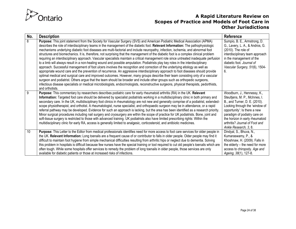

| No. | <b>Description</b>                                                                                                                                                                                                                                                                                                                                                                                                                                                                                                                                                                                                                                                                                                                                                                                                                                                                                                                                                                                                                                                                                                                                                                                                                                                                                                                                                                                                                                                                                                           | Reference                                                                                                                                                                                                                                                                                      |
|-----|------------------------------------------------------------------------------------------------------------------------------------------------------------------------------------------------------------------------------------------------------------------------------------------------------------------------------------------------------------------------------------------------------------------------------------------------------------------------------------------------------------------------------------------------------------------------------------------------------------------------------------------------------------------------------------------------------------------------------------------------------------------------------------------------------------------------------------------------------------------------------------------------------------------------------------------------------------------------------------------------------------------------------------------------------------------------------------------------------------------------------------------------------------------------------------------------------------------------------------------------------------------------------------------------------------------------------------------------------------------------------------------------------------------------------------------------------------------------------------------------------------------------------|------------------------------------------------------------------------------------------------------------------------------------------------------------------------------------------------------------------------------------------------------------------------------------------------|
| 8   | Purpose: This joint statement from the Society for Vascular Surgery (SVS) and American Podiatric Medical Association (APMA)<br>describes the role of interdisciplinary teams in the management of the diabetic foot. Relevant Information: The pathophysiologic<br>mechanisms underlying diabetic foot diseases are multi-factorial and include neuropathy, infection, ischemia, and abnormal foot<br>structures and biomechanics. It is, therefore, not surprising that the management of the diabetic foot is a complex clinical problem<br>requiring an interdisciplinary approach. Vascular specialists maintain a critical management role since untreated inadequate perfusion<br>to a limb will always result in a non-healing wound and possible amputation. Podiatrists play key roles in the interdisciplinary<br>approach. Successful management of foot ulcers involves the recognition and correction of the underlying etiology as well as<br>appropriate wound care and the prevention of recurrence. An aggressive interdisciplinary approach to foot diseases should provide<br>optimal medical and surgical care and improved outcomes. However, many groups describe their team consisting only of a vascular<br>surgeon and podiatrist. Others argue that the team should be broader and include other groups such as orthopedic surgeons,<br>infectious disease specialists or medical microbiologists, endocrinologists, reconstructive surgeons, physical therapists, pedorthists,<br>and orthotists. | Sumpio, B. E., Armstrong, D.<br>G., Lavery, L. A., & Andros, G.<br>$(2010)$ . The role of<br>interdisciplinary team approach<br>in the management of the<br>diabetic foot. Journal of<br>Vascular Surgery, 51(6), 1504-<br>6.                                                                  |
| 9   | Purpose: This commentary by researchers describes podiatric care for early rheumatoid arthritis (RA) in the UK. Relevant<br>Information: Targeted foot care should be delivered by specialist podiatrists working in a multidisciplinary clinic in both primary and<br>secondary care. In the UK, multidisciplinary foot clinics in rheumatology are not new and generally comprise of a podiatrist, extended-<br>scope physiotherapist, and orthotist. A rheumatologist, nurse specialist, and orthopaedic surgeon may be in attendance, or a rapid<br>referral pathway may be developed. Evidence for such an approach is lacking, but the area has been identified as a research priority.<br>Minor surgical procedures including nail surgery and cryosurgery are within the scope of practice for UK podiatrists. Bone, joint and<br>soft-tissue surgery is restricted to those with advanced training. UK podiatrists also have limited prescribing rights: Within the<br>multidisciplinary clinic for early RA, access is generally limited to analgesic, corticosteroid, and antibiotic medicines.                                                                                                                                                                                                                                                                                                                                                                                                                   | Woodburn, J., Hennessy, K.,<br>Steultjens, M. P., McInnes, I.<br>B., and Turner, D. E. (2010).<br>Looking through the 'window of<br>opportunity': Is there a new<br>paradigm of podiatry care on<br>the horizon in early rheumatoid<br>arthritis? Journal of Foot and<br>Ankle Research, 3, 8. |
| 10  | Purpose: This Letter to the Editor from medical professionals identifies need for more access to foot care services for older people in<br>the UK. Relevant Information: Long toenails are a frequent cause of or contributor to falls in older people. Older people may find it<br>difficult to maintain foot hygiene from simple mechanical difficulties resulting from arthritic hips or neglect due to dementia. Solving<br>this problem in hospitals is difficult because few nurses have the special training or tool required to cut old people's toenails which are<br>often tough. While some hospitals offer services to remedy the problem of long toenails in older people, those services are only<br>available for diabetic patients or those at increased risks of infections.                                                                                                                                                                                                                                                                                                                                                                                                                                                                                                                                                                                                                                                                                                                                | Dindyal, S., Bhuva, N.,<br>Kumaraswamy, P., &<br>Khoshnaw, H. (2009). Falls in<br>the elderly - the need for more<br>access to chiropody. Age and<br>Ageing, 38(1), 127-8.                                                                                                                     |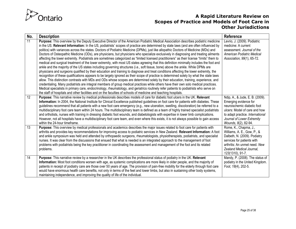

| No.               | <b>Description</b>                                                                                                                                                                                                                                                                                                                                                                                                                                                                                                                                                                                                                                                                                                                                                                                                                                                                                                                                                                                                                                                                                                                                                                                                                                                                                                                                                                                                                                                                                                                                                                                                                                                                                                                                                                                                       | <b>Reference</b>                                                                                                                                                                                                   |
|-------------------|--------------------------------------------------------------------------------------------------------------------------------------------------------------------------------------------------------------------------------------------------------------------------------------------------------------------------------------------------------------------------------------------------------------------------------------------------------------------------------------------------------------------------------------------------------------------------------------------------------------------------------------------------------------------------------------------------------------------------------------------------------------------------------------------------------------------------------------------------------------------------------------------------------------------------------------------------------------------------------------------------------------------------------------------------------------------------------------------------------------------------------------------------------------------------------------------------------------------------------------------------------------------------------------------------------------------------------------------------------------------------------------------------------------------------------------------------------------------------------------------------------------------------------------------------------------------------------------------------------------------------------------------------------------------------------------------------------------------------------------------------------------------------------------------------------------------------|--------------------------------------------------------------------------------------------------------------------------------------------------------------------------------------------------------------------|
| 11                | Purpose: This overview by the Deputy Executive Director of the American Podiatric Medical Association describes podiatric medicine<br>in the US. Relevant Information: In the US, podiatrists' scopes of practice are determined by state laws (and are often influenced by<br>politics) with variances across the states. Doctors of Podiatric Medicine (DPMs), just like allopathic Doctors of Medicine (MDs) and<br>Doctors of Osteopathic Medicine (ODs), are physicians, but physicians who specialize exclusively in diagnosing and treating ailments<br>affecting the lower extremity. Podiatrists are sometimes categorized as "limited licensed practitioners" as their license "limits" them to<br>medical and surgical treatment of the lower extremity, with most US states agreeing that this definition minimally includes the foot and<br>ankle and the majority of the US states including governing structures (i.e., soft tissue, bone) above the ankle. While DPMs are<br>physicians and surgeons qualified by their education and training to diagnose and treat conditions affecting the lower extremity, the<br>recognition of these qualifications appears to be largely ignored as their scope of practice is determined solely by what the state laws<br>allow. This distinction contrasts with MDs and ODs whose scopes are determined solely by their education, training, experience, and<br>credentialing. Many podiatrists are integral members of group medical practices while others have their own solo medical practices.<br>Medical specialists in primary care, endocrinology, rheumatology, and geriatrics routinely refer patients to podiatrists who serve on<br>the staff of hospitals and other facilities and on the faculties of schools of medicine and teaching hospitals. | Levrio, J. (2009). Podiatric<br>medicine: A current<br>assessment. Journal of the<br>American Podiatric Medical<br>Association, 99(1), 65-72.                                                                      |
| $12 \overline{ }$ | Purpose: This narrative review by medical professionals describes models of care for diabetic foot ulcers in the UK. Relevant<br>Information: In 2004, the National Institute for Clinical Excellence published guidelines on foot care for patients with diabetes. These<br>guidelines recommend that all patients with a new foot care emergency (e.g., new ulceration, swelling, discoloration) be referred to a<br>multidisciplinary foot care team within 24 hours. The multidisciplinary team is defined as a team of highly trained specialist podiatrists<br>and orthotists, nurses with training in dressing diabetic foot wounds, and diabetologists with expertise in lower limb complications.<br>However, not all hospitals have a multidisciplinary foot care team, and even where this exists, it is not always possible to gain access<br>within the 24-hour timeframe.                                                                                                                                                                                                                                                                                                                                                                                                                                                                                                                                                                                                                                                                                                                                                                                                                                                                                                                                  | Ndip, A., & Jude, E. B. (2009).<br>Emerging evidence for<br>neuroischemic diabetic foot<br>ulcers: Model of care and how<br>to adapt practice. International<br>Journal of Lower Extremity<br>Wounds, 8(2), 82-94. |
| 13                | Purpose: This overview by medical professionals and academics describes the major issues related to foot care for patients with<br>arthritis and provides key recommendations for improving access to podiatric services in New Zealand. Relevant Information: A foot<br>and ankle symposium was held and attended by orthopaedic surgeons, rheumatologists, physiotherapists, podiatrists, and specialist<br>nurses. It was clear from the discussions that ensued that what is needed is an integrated approach to the management of foot<br>problems with podiatrists being the key practitioner in coordinating the assessment and management of the foot and its related<br>problems.                                                                                                                                                                                                                                                                                                                                                                                                                                                                                                                                                                                                                                                                                                                                                                                                                                                                                                                                                                                                                                                                                                                               | Rome, K., Chapma, J.,<br>Williams, A. E., Gow, P., &<br>Dalbeth, N. (2009). Podiatry<br>services for patients with<br>arthritis: An unmet need. New<br>Zealand Medical Journal,<br>123(1310), 91-7.                |
| 14                | Purpose: This narrative review by a researcher in the UK describes the professional status of podiatry in the UK. Relevant<br>Information: Most foot conditions worsen with age, as systemic complications are more likely in older people, and the majority of<br>patients in receipt of podiatry care are those over 50 years of age. The provision of pain-free mobility for the elderly through foot care<br>would have enormous health care benefits, not only in terms of the feet and lower limbs, but also in sustaining other body systems,<br>maintaining independence, and improving the quality of life of the individual.                                                                                                                                                                                                                                                                                                                                                                                                                                                                                                                                                                                                                                                                                                                                                                                                                                                                                                                                                                                                                                                                                                                                                                                   | Mandy, P. (2008). The status of<br>podiatry in the United Kingdom.<br>Foot, 18(4), 202-5.                                                                                                                          |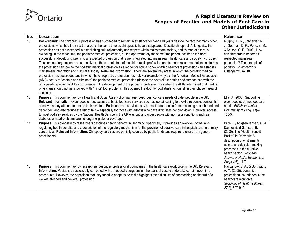

| No.             | <b>Description</b>                                                                                                                                                                                                                                                                                                                                                                                                                                                                                                                                                                                                                                                                                                                                                                                                                                                                                                                                                                                                                                                                                                                                                                                                                                                                                                                                                                                                                                                                                                                                                                                                                                                     | Reference                                                                                                                                                                                                                                                                                      |
|-----------------|------------------------------------------------------------------------------------------------------------------------------------------------------------------------------------------------------------------------------------------------------------------------------------------------------------------------------------------------------------------------------------------------------------------------------------------------------------------------------------------------------------------------------------------------------------------------------------------------------------------------------------------------------------------------------------------------------------------------------------------------------------------------------------------------------------------------------------------------------------------------------------------------------------------------------------------------------------------------------------------------------------------------------------------------------------------------------------------------------------------------------------------------------------------------------------------------------------------------------------------------------------------------------------------------------------------------------------------------------------------------------------------------------------------------------------------------------------------------------------------------------------------------------------------------------------------------------------------------------------------------------------------------------------------------|------------------------------------------------------------------------------------------------------------------------------------------------------------------------------------------------------------------------------------------------------------------------------------------------|
| $\overline{15}$ | Background: The chiropractic profession has succeeded to remain in existence for over 110 years despite the fact that many other<br>professions which had their start at around the same time as chiropractic have disappeared. Despite chiropractic's longevity, the<br>profession has not succeeded in establishing cultural authority and respect within mainstream society, and its market share is<br>dwindling. In the meantime, the podiatric medical profession, during approximately the same time period, has been far more<br>successful in developing itself into a respected profession that is well integrated into mainstream health care and society. Purpose:<br>This commentary presents a perspective on the current state of the chiropractic profession and to make recommendations as to how<br>the profession can look to the podiatric medical profession as a model for how a non-allopathic healthcare profession can establish<br>mainstream integration and cultural authority. Relevant Information: There are several key areas in which the podiatric medical<br>profession has succeeded and in which the chiropractic profession has not. For example, why did the American Medical Association<br>(AMA) not try to "contain and eliminate" the podiatric medical profession (despite the several turf battles podiatry has had with the<br>orthopaedic specialty)? A key occurrence in the development of the podiatric profession was when the AMA determined that medical<br>physicians should not get involved with "minor" foot problems. This opened the door for podiatrists to flourish in their chosen area of<br>specialty. | Murphy, D. R., Schneider, M.<br>J., Seaman, D. R., Perle, S. M.,<br>& Nelson, C. F. (2008). How<br>can chiropractic become a<br>respected mainstream<br>profession? The example of<br>podiatry. Chiropractic &<br>Osteopathy, 16, 10.                                                          |
| 16              | Purpose: This commentary by a Health and Social Care Policy manager describes foot care needs of older people in the UK.<br>Relevant Information: Older people need access to basic foot care services such as toenail cutting to avoid dire consequences that<br>arise when they attempt to tend to their own feet. Basic foot care services may prevent older people from becoming housebound and<br>dependent and also reduce the risk of falls - especially for those with arthritis who have difficulties bending down. However, access<br>to most podiatry services by the National Health Service in the UK was cut, and older people with no major conditions such as<br>diabetes or heart problems are no longer eligible for coverage.                                                                                                                                                                                                                                                                                                                                                                                                                                                                                                                                                                                                                                                                                                                                                                                                                                                                                                                       | Ellis, J. (2006). Supporting<br>older people: Unmet foot-care<br>needs. British Journal of<br>Community Nursing, 11(4),<br>$153 - 5.$                                                                                                                                                          |
| 17              | Purpose: This overview by researchers describes health benefits in Denmark. Specifically, it provides an overview of the laws<br>regulating health benefits and a description of the regulatory mechanism for the provision of curative care in hospitals and in primary<br>care offices. Relevant Information: Chiropody services are partially covered by public funds and require referrals from general<br>practitioners.                                                                                                                                                                                                                                                                                                                                                                                                                                                                                                                                                                                                                                                                                                                                                                                                                                                                                                                                                                                                                                                                                                                                                                                                                                          | Bilde, L., Ankjaer-Jensen, A., &<br>Danneskiold-Samsøe, B.<br>(2005). The "Health Benefit<br>Basket" in Denmark: A<br>description of entitlements,<br>actors, and decision-making<br>processes in the curative<br>health sector. European<br>Journal of Health Economics,<br>Suppl 1(6), 11-7. |
| 18              | Purpose: This commentary by researchers describes professional boundaries in the health care workforce in the UK. Relevant<br>Information: Podiatrists successfully competed with orthopaedic surgeons on the basis of cost to undertake certain lower limb<br>procedures. However, the opposition that they faced to adopt these tasks highlights the difficulties of encroaching on the turf of a<br>well-established and powerful profession.                                                                                                                                                                                                                                                                                                                                                                                                                                                                                                                                                                                                                                                                                                                                                                                                                                                                                                                                                                                                                                                                                                                                                                                                                       | Nancarrow, S. A., & Borthwick,<br>A. M. (2005). Dynamic<br>professional boundaries in the<br>healthcare workforce.<br>Sociology of Health & Illness,<br>27(7), 897-919.                                                                                                                        |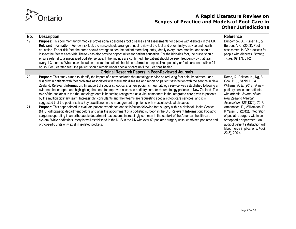

| No. | <b>Description</b>                                                                                                                                                                                                                                                                                                                                                                                                                                                                                                                                                                                                                                                                                                                                                                                                                                                                                                                                     | Reference                                                                                                                                                                                                                          |
|-----|--------------------------------------------------------------------------------------------------------------------------------------------------------------------------------------------------------------------------------------------------------------------------------------------------------------------------------------------------------------------------------------------------------------------------------------------------------------------------------------------------------------------------------------------------------------------------------------------------------------------------------------------------------------------------------------------------------------------------------------------------------------------------------------------------------------------------------------------------------------------------------------------------------------------------------------------------------|------------------------------------------------------------------------------------------------------------------------------------------------------------------------------------------------------------------------------------|
| 19  | Purpose: This commentary by medical professionals describes foot diseases and assessments for people with diabetes in the UK.<br>Relevant Information: For low-risk feet, the nurse should arrange annual review of the feet and offer lifestyle advice and health<br>education. For at-risk feet, the nurse should arrange to see the patient more frequently, ideally every three months, and should<br>inspect the feet at each visit. These visits also provide opportunities for patient education. For the high-risk foot, the nurse should<br>ensure referral to a specialized podiatry service. If the findings are confirmed, the patient should be seen frequently by that team<br>every 1-3 months. When new ulceration occurs, the patient should be referred to a specialized podiatry or foot care team within 24<br>hours. For ulcerated feet, the patient should remain under specialist care until the ulcer has healed.              | Duncombe, G., Purser, P., &<br>Burden, A. C. (2003). Foot<br>assessment in GP practices for<br>people with diabetes. Nursing<br>Times, 99(17), 51-2.                                                                               |
|     | <b>Original Research Papers in Peer-Reviewed Journals</b>                                                                                                                                                                                                                                                                                                                                                                                                                                                                                                                                                                                                                                                                                                                                                                                                                                                                                              |                                                                                                                                                                                                                                    |
| 20  | Purpose: This study aimed to identify the impact of a new podiatric rheumatology service on reducing foot pain, impairment, and<br>disability in patients with foot problems associated with rheumatic diseases and report on patient satisfaction with the service in New<br>Zealand. Relevant Information: In support of specialist foot care, a new podiatric rheumatology service was established following an<br>evidence-based approach highlighting the need for improved access to podiatry care for rheumatology patients in New Zealand. The<br>role of the podiatrist in the rheumatology team is becoming recognized as a vital component in the integrated care given to patients<br>by the multidisciplinary team. Increasingly, consultants and their teams are requesting specialist foot care services, and it is<br>suggested that the podiatrist is a key practitioner in the management of patients with musculoskeletal diseases. | Rome, K., Erikson, K., Ng, A.,<br>Gow, P. J., Sahid, H., &<br>Williams, A. E. (2013). A new<br>podiatry service for patients<br>with arthritis. Journal of the<br>New Zealand Medical<br>Association, 126(1370), 70-7.             |
| 21  | Purpose: This paper aimed to evaluate patient experience and satisfaction following foot surgery within a National Health Service<br>(NHS) orthopaedic department before and after the appointment of a podiatric surgeon in the UK. Relevant Information: Podiatric<br>surgeons operating in an orthopaedic department has become increasingly common in the context of the American health care<br>system. While podiatric surgery is well established in the NHS in the UK with over 50 podiatric surgery units, combined podiatric and<br>orthopaedic units only exist in isolated pockets.                                                                                                                                                                                                                                                                                                                                                        | Armanasco, P., Williamson, D.,<br>& Yates, B. (2012). Integration<br>of podiatric surgery within an<br>orthopaedic department: An<br>audit of patient satisfaction with<br>labour force implications. Foot,<br>$22(3)$ , $200-4$ . |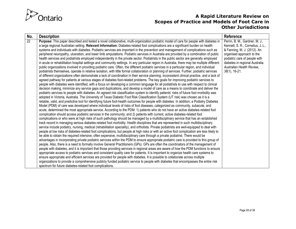

| No. | <b>Description</b>                                                                                                                                                                                                                                                           | <b>Reference</b>                  |
|-----|------------------------------------------------------------------------------------------------------------------------------------------------------------------------------------------------------------------------------------------------------------------------------|-----------------------------------|
| 22  | Purpose: This paper described and tested a novel collaborative, multi-organization podiatric model of care for people with diabetes in                                                                                                                                       | Perrin, B. M., Gardner, M. J.,    |
|     | a large regional Australian setting. Relevant Information: Diabetes-related foot complications are a significant burden on health                                                                                                                                            | Kennett, S. R., Cornelius, J. L., |
|     | systems and individuals with diabetes. Podiatric services are important in the prevention and management of complications such as                                                                                                                                            | & Fanning, M. J. (2012). An       |
|     | peripheral neuropathy, ulceration, and lower limb amputations. Podiatric services in Australia are provided by a combination of public                                                                                                                                       | organised approach to the         |
|     | health services and podiatrists employed independently in the private sector. Podiatrists in the public sector are generally employed                                                                                                                                        | podiatric care of people with     |
|     | in acute or rehabilitation hospital settings and community settings. In any particular region in Australia, there may be multiple different                                                                                                                                  | diabetes in regional Australia.   |
|     | public organizations involved in providing podiatric care. Often, the different podiatric services in a particular region, and individual                                                                                                                                    | Australian Health Review,         |
|     | podiatrists themselves, operate in relative isolation, with little formal collaboration or planning of services. Further, podiatric services                                                                                                                                 | $36(1)$ , 16-21.                  |
|     | of different organizations often demonstrate a lack of coordination in their service planning, inconsistent clinical practice, and a lack of                                                                                                                                 |                                   |
|     | agreed pathway for patients at various stages of diabetes foot-related problems. The key goals for improving podiatric services to<br>people with diabetes were identified, with a focus on developing a common language for all podiatrists to use with respect to clinical |                                   |
|     | decision making, minimize any service gaps and duplications, and develop a model of care as a means to coordinate and deliver the                                                                                                                                            |                                   |
|     | podiatric services to people with diabetes. An agreed risk classification system to identify patients' risks of future foot morbidity was                                                                                                                                    |                                   |
|     | adopted in Victoria, Australia. The University of Texas Diabetic Foot Risk Classification System (UT risk) was chosen as it is a                                                                                                                                             |                                   |
|     | reliable, valid, and predictive tool for identifying future foot-health outcomes for people with diabetes. In addition, a Podiatry Diabetes                                                                                                                                  |                                   |
|     | Model (PDM) of care was developed where individual levels of risks of foot diseases, categorized as community, subacute, and                                                                                                                                                 |                                   |
|     | acute, determined the most appropriate service. According to the PDM: 1) patients who do not have an active diabetes-related foot                                                                                                                                            |                                   |
|     | complication should access podiatric services in the community; and 2) patients with current, active diabetes-related foot                                                                                                                                                   |                                   |
|     | complications or who were at high risks of such pathology should be managed by a multidisciplinary service that has an established                                                                                                                                           |                                   |
|     | track record in managing serious diabetes-related foot morbidity. Health disciplines that are represented in such multidisciplinary                                                                                                                                          |                                   |
|     | service include podiatry, nursing, medical (rehabilitation speciality), and orthotists. Private podiatrists are well-equipped to deal with                                                                                                                                   |                                   |
|     | people at low risks of diabetes-related foot complications, but people at high risks or with an active foot complication are less likely to                                                                                                                                  |                                   |
|     | be able to obtain the required intensive, often expensive, multidisciplinary care through a private podiatrist. There would be                                                                                                                                               |                                   |
|     | advantages in incorporating private podiatric services within the PDM to ensure appropriate podiatric care is provided to this group of                                                                                                                                      |                                   |
|     | people. Also, there is a need to formally involve General Practitioners (GPs). GPs are often the coordinators of the management of                                                                                                                                           |                                   |
|     | people with diabetes, and it is important that those providing services in regional areas are aware of how the PDM functions to ensure                                                                                                                                       |                                   |
|     | appropriate access to podiatric services and consistent quality care for patients. It is important to organize health care systems to                                                                                                                                        |                                   |
|     | ensure appropriate and efficient services are provided for people with diabetes. It is possible to collaborate across multiple                                                                                                                                               |                                   |
|     | organizations to provide a comprehensive publicly funded podiatric service to people with diabetes that encompasses the entire risk<br>spectrum for future diabetes-related foot complications.                                                                              |                                   |
|     |                                                                                                                                                                                                                                                                              |                                   |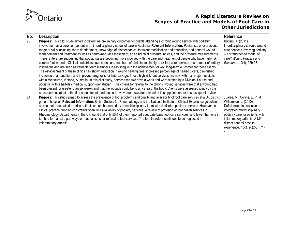

| No. | <b>Description</b>                                                                                                                                                                                                                                                                                                                                                                                                                                                                                                                                                                                                                                                                                                                                                                                                                                                                                                                                                                                                                                                                                                                                                                                                                                                                                                                                                                                                                                                                                                                                                                                                                                                                                                                                                                                          | Reference                                                                                                                                                                                                                                                 |
|-----|-------------------------------------------------------------------------------------------------------------------------------------------------------------------------------------------------------------------------------------------------------------------------------------------------------------------------------------------------------------------------------------------------------------------------------------------------------------------------------------------------------------------------------------------------------------------------------------------------------------------------------------------------------------------------------------------------------------------------------------------------------------------------------------------------------------------------------------------------------------------------------------------------------------------------------------------------------------------------------------------------------------------------------------------------------------------------------------------------------------------------------------------------------------------------------------------------------------------------------------------------------------------------------------------------------------------------------------------------------------------------------------------------------------------------------------------------------------------------------------------------------------------------------------------------------------------------------------------------------------------------------------------------------------------------------------------------------------------------------------------------------------------------------------------------------------|-----------------------------------------------------------------------------------------------------------------------------------------------------------------------------------------------------------------------------------------------------------|
| 23  | Purpose: This pilot study aimed to determine preliminary outcomes for clients attending a chronic wound service with podiatry<br>involvement as a core component in an interdisciplinary model of care in Australia. Relevant Information: Podiatrists offer a diverse<br>range of skills including sharp debridement, knowledge of biomechanics, footwear modification and education, and general wound<br>management and treatment as well as neurovascular assessment, ankle brachial pressure indices, and toe pressure measurements.<br>There is literature suggesting that podiatrists are becoming more involved with the care and treatment of people who have high-risk<br>chronic foot wounds. Clinical podiatrists have been core members of clinic teams in high-risk foot care services at a number of tertiary<br>institutions and are seen as valuable team members in assisting with the achievement of key, long-term outcomes for these clients.<br>The establishment of these clinics has shown reduction in wound healing time, increased percentage of healed ulcers, diminished<br>incidence of amputation, and improved prognosis for limb salvage. These high-risk foot services are now within all major hospitals<br>within Melbourne, Victoria, Australia. In this pilot study, services ran two days a week and were staffed by a Division 1 nurse and<br>podiatrist with a half-day medical support (geriatrician). The criteria for referral to the chronic wound services were that a wound had<br>been present for greater than six weeks and that the wounds could be to any area of the body. Clients were assessed jointly by the<br>nurse and podiatrist at the first appointment, and medical involvement was determined at this appointment or in subsequent reviews. | Butters, T. (2011).<br>Interdisciplinary chronic-wound<br>care services involving podiatry<br>- a strengthened model of<br>care? Wound Practice and<br>Research, 19(4), 229-33.                                                                           |
| 24  | Purpose: This study aimed to assess the prevalence of foot problems and quality and availability of foot care services at a UK district<br>general hospital. Relevant Information: British Society for Rheumatology and the National Institute of Clinical Excellence guidelines<br>advise that rheumatoid arthritis patients should be treated by a multidisciplinary team with dedicated podiatry services. However, in<br>clinical practice, funding constraints often limit availability of podiatry services. A review of provision of foot health services in<br>Rheumatology Departments in the UK found that only 50% of them reported adequate basic foot care services, and fewer than one in<br>ten had formal care pathways or mechanisms for referral to foot services. The foot therefore continues to be neglected in<br>inflammatory arthritis.                                                                                                                                                                                                                                                                                                                                                                                                                                                                                                                                                                                                                                                                                                                                                                                                                                                                                                                                             | Juarez, M., Collins, E. P., &<br>Williamson, L. (2010).<br>Deficiencies in provision of<br>integrated multidisciplinary<br>podiatry care for patients with<br>inflammatory arthritis: A UK<br>district general hospital<br>experience. Foot, 20(2-3), 71- |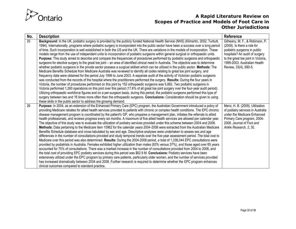

| No. | <b>Description</b>                                                                                                                                                                                                                                                       | <b>Reference</b>                    |
|-----|--------------------------------------------------------------------------------------------------------------------------------------------------------------------------------------------------------------------------------------------------------------------------|-------------------------------------|
| 25  | Background: In the UK, podiatric surgery is provided by the publicly funded National Health Service (NHS) (Kilmartin, 2002; Turbutt,                                                                                                                                     | Gilheany, M. F., & Robinson, P.     |
|     | 1994). Internationally, programs where podiatric surgery is incorporated into the public sector have been a success over a long period                                                                                                                                   | (2009). Is there a role for         |
|     | of time. Such incorporation is well established in both the US and the UK. There are variations in the models of incorporation. These                                                                                                                                    | podiatric surgeons in public        |
|     | models range from the use of independent units to incorporation of podiatric surgeons within general surgical or orthopaedic units.                                                                                                                                      | hospitals? An audit of surgery      |
|     | Purpose: This study aimed to describe and compare the frequencies of procedures performed by podiatric surgeons and orthopaedic                                                                                                                                          | to the great toe joint in Victoria, |
|     | surgeons for elective surgery to the great toe joint – an area of identified clinical need in Australia. The objective was to determine                                                                                                                                  | 1999-2003. Australian Health        |
|     | whether podiatric surgeons in the private sector possess a surgical skillset which can be utilized in the public sector. Methods: The                                                                                                                                    | Review, 33(4), 690-5.               |
|     | Medicare Benefits Schedule from Medicare Australia was reviewed to identify all codes relating to great toe joint surgery, and                                                                                                                                           |                                     |
|     | frequency data were obtained for the period July 1999 to June 2003. A separate audit of the activity of Victorian podiatric surgeons<br>was conducted from the records of the hospital where the practitioners performed the surgery. Results: During the four years in  |                                     |
|     | Victoria, the number of procedures performed on this joint by 152 orthopaedic surgeons was 5,882. Two podiatric surgeons in                                                                                                                                              |                                     |
|     | Victoria performed 1,260 operations on this joint over this period (17.6% of all great toe joint surgery over the four-year audit period).                                                                                                                               |                                     |
|     | Utilizing orthopaedic workforce figures and on a per-surgeon basis, during this period, the podiatric surgeons performed this type of                                                                                                                                    |                                     |
|     | surgery between two and 16 times more often than the orthopaedic surgeons. Conclusions: Consideration should be given to using                                                                                                                                           |                                     |
|     | these skills in the public sector to address the growing demand.                                                                                                                                                                                                         |                                     |
| 26  | Purpose: In 2004, as an extension of the Enhanced Primary Care (EPC) program, the Australian Government introduced a policy of                                                                                                                                           | Menz, H. B. (2009). Utilisation     |
|     | providing Medicare rebates for allied health services provided to patients with chronic or complex health conditions. The EPC chronic                                                                                                                                    | of podiatry services in Australia   |
|     | disease management program is coordinated by the patient's GP, who prepares a management plan, initiates the referrals to allied                                                                                                                                         | under the Medicare Enhanced         |
|     | health professionals, and reviews progress every six months. A maximum of five allied health services are allowed per calendar year.                                                                                                                                     | Primary Care program, 2004-         |
|     | The objective of this study was to evaluate the utilization of podiatry services provided under this scheme between 2004 and 2008.                                                                                                                                       | 2008. Journal of Foot and           |
|     | Methods: Data pertaining to the Medicare item 10962 for the calendar years 2004-2008 were extracted from the Australian Medicare                                                                                                                                         | Ankle Research, 2, 30.              |
|     | Benefits Schedule database and cross-tabulated by sex and age. Descriptive analyses were undertaken to assess sex and age                                                                                                                                                |                                     |
|     | differences in the number of consultations provided and study temporal trends over the five-year assessment period. The total cost to                                                                                                                                    |                                     |
|     | Medicare over this period was also determined. Results: During the 2004-2008 period, a total of 1,338,044 EPC consultations were<br>provided by podiatrists in Australia. Females exhibited higher utilization than males (63% versus 37%), and those aged over 65 years |                                     |
|     | accounted for 75% of consultations. There was a marked increase in the number of consultations provided from 2004 to 2008, and                                                                                                                                           |                                     |
|     | the total cost of providing EPC podiatry services during this period was \$62.9 M. Conclusions: Podiatry services have been                                                                                                                                              |                                     |
|     | extensively utilized under the EPC program by primary care patients, particularly older women, and the number of services provided                                                                                                                                       |                                     |
|     | has increased dramatically between 2004 and 2008. Further research is required to determine whether the EPC program enhances                                                                                                                                             |                                     |
|     | clinical outcomes compared to standard practice.                                                                                                                                                                                                                         |                                     |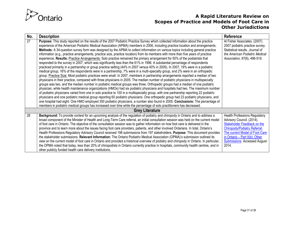

| No. | <b>Description</b>                                                                                                                                                                                                                                                                                                                                                                                                                                                                                                                                                                                                                                                                                                                                                                                                                                                                                                                                                                                                                                                                                                                                                                                                                                                                                                                                                                                                                                                                                                                                                                                                                                                                                                                                                                                                                                                                                                                                                                                                                                                                                                                                                     | Reference                                                                                                                                                                                                                                                    |
|-----|------------------------------------------------------------------------------------------------------------------------------------------------------------------------------------------------------------------------------------------------------------------------------------------------------------------------------------------------------------------------------------------------------------------------------------------------------------------------------------------------------------------------------------------------------------------------------------------------------------------------------------------------------------------------------------------------------------------------------------------------------------------------------------------------------------------------------------------------------------------------------------------------------------------------------------------------------------------------------------------------------------------------------------------------------------------------------------------------------------------------------------------------------------------------------------------------------------------------------------------------------------------------------------------------------------------------------------------------------------------------------------------------------------------------------------------------------------------------------------------------------------------------------------------------------------------------------------------------------------------------------------------------------------------------------------------------------------------------------------------------------------------------------------------------------------------------------------------------------------------------------------------------------------------------------------------------------------------------------------------------------------------------------------------------------------------------------------------------------------------------------------------------------------------------|--------------------------------------------------------------------------------------------------------------------------------------------------------------------------------------------------------------------------------------------------------------|
| 27  | Purpose: This study reported on the results of the 2007 Podiatric Practice Survey which collected information about the practice<br>experience of the American Podiatric Medical Association (APMA) members in 2006, including practice location and arrangements.<br>Methods: A 34-question survey form was designed by the APMA to collect information on various topics including general practice<br>information (e.g., practice arrangements, practice size, practice location) from its members with more than five years of practice<br>experience. Results: Practice Arrangements: Solo practice remained the primary arrangement for 50% of the podiatrists that<br>responded to the survey in 2007, which was significantly less than the 61% in 1996. A substantial percentage of respondents<br>practiced primarily in a partnership or group practice setting (44% in 2007 versus 40% in 2005). In 2007, 19% were in a podiatric<br>medical group, 16% of the respondents were in a partnership, 7% were in a multi-specialty group, and 2% were in an orthopedic<br>group. Practice Size: Most podiatric practices were small. In 2007, members in partnership arrangements reported a median of two<br>physicians in their practice, compared with three physicians in 2005. The median number of podiatric physicians in multispecialty<br>groups was two, and the median number in podiatric medical groups was three. Orthopedic groups had a median of one podiatric<br>physician, while health maintenance organizations (HMOs) had six podiatric physicians and hospitals had two. The maximum number<br>of podiatric physicians varied from one in solo practice to 100 in a multispecialty group, with one partnership reporting 22 podiatric<br>physicians and one podiatric medical group reporting 60 podiatric physicians. One orthopedic group had 23 podiatric physicians, and<br>one hospital had eight. One HMO employed 350 podiatric physicians, a number also found in 2005. Conclusions: The percentage of<br>members in podiatric medical groups has increased over time while the percentage of solo practitioners has decreased. | Al Fisher Associates. (2007).<br>2007 podiatric practice survey.<br>Statistical results. Journal of<br>the American Podiatric Medical<br>Association, 97(6), 496-519.                                                                                        |
|     | <b>Grey Literature</b>                                                                                                                                                                                                                                                                                                                                                                                                                                                                                                                                                                                                                                                                                                                                                                                                                                                                                                                                                                                                                                                                                                                                                                                                                                                                                                                                                                                                                                                                                                                                                                                                                                                                                                                                                                                                                                                                                                                                                                                                                                                                                                                                                 |                                                                                                                                                                                                                                                              |
| 28  | Background: To provide context for an upcoming analysis of the regulation of podiatry and chiropody in Ontario and to address a<br>broad component of the Minister of Health and Long-Term Care referral, an initial consultation session was held on the current model<br>of foot care in Ontario. The objective of the consultation session was to gather information on how foot care is delivered in the<br>province and to learn more about the issues facing foot care providers, patients, and other involved Ontarians. In total, Ontario's<br>Health Professions Regulatory Advisory Council received 198 submissions from 197 stakeholders. Purpose: This document provides<br>the stakeholder submissions. Relevant Information: The Ontario Podiatric Medical Association (OPMA)'s submission outlined its<br>view on the current model of foot care in Ontario and provided a historical overview of podiatry and chiropody in Ontario. In particular,<br>the OPMA noted that today, less than 20% of chiropodists in Ontario currently practice in hospitals, community health centres, and in<br>other publicly funded health care delivery institutions.                                                                                                                                                                                                                                                                                                                                                                                                                                                                                                                                                                                                                                                                                                                                                                                                                                                                                                                                                                                               | <b>Health Professions Regulatory</b><br>Advisory Council. (2014).<br>Stakeholder Feedback on the<br><b>Chiropody/Podiatry Referral:</b><br>The current Model of Foot Care<br>in Ontario - Part II(b): Other<br><b>Submissions</b> . Accessed August<br>2014. |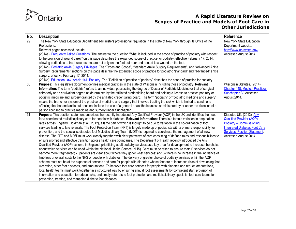

| No.             | <b>Description</b>                                                                                                                                                                                                                                                       | <b>Reference</b>                      |
|-----------------|--------------------------------------------------------------------------------------------------------------------------------------------------------------------------------------------------------------------------------------------------------------------------|---------------------------------------|
| 29              | The New York State Education Department administers professional regulation in the state of New York through its Office of the                                                                                                                                           | New York State Education              |
|                 | Professions.                                                                                                                                                                                                                                                             | Department website:                   |
|                 | Relevant pages accessed include:                                                                                                                                                                                                                                         | http://www.op.nysed.gov/              |
|                 | (2014a). Frequently Asked Questions. The answer to the question "What is included in the scope of practice of podiatry with respect                                                                                                                                      | Accessed August 2014.                 |
|                 | to the provision of wound care?" on this page describes the expanded scope of practice for podiatry, effective February 17, 2014,                                                                                                                                        |                                       |
|                 | allowing podiatrists to treat wounds that are not only on the foot but near and related to a wound on the foot.                                                                                                                                                          |                                       |
|                 | (2014b). Podiatric Ankle Surgery Privileges. The "Types and Scope", "Standard Ankle Surgery Requirements", and "Advanced Ankle                                                                                                                                           |                                       |
|                 | Surgery Requirements" sections on this page describe the expanded scope of practice for podiatric "standard" and "advanced" ankle                                                                                                                                        |                                       |
|                 | surgery, effective February 17, 2014.                                                                                                                                                                                                                                    |                                       |
| 30 <sup>°</sup> | (2014c). Education Law. Article 141, Podiatry. The "Definition of practice of podiatry" describes the scope of practice for podiatry.                                                                                                                                    | Wisconsin Statutes. (2014).           |
|                 | Purpose: This legislative document defines medical practices in the state of Wisconsin including those of podiatry. Relevant<br>Information: The term "podiatrist" refers to an individual possessing the degree of Doctor of Podiatric Medicine or that of surgical     | <b>Chapter 448. Medical Practices</b> |
|                 | chiropody or an equivalent degree as determined by the affiliated credentialing board and holding a license to practice podiatry or                                                                                                                                      | Subchapter IV. Accessed               |
|                 | podiatric medicine and surgery granted by the affiliated credentialing board. The term "podiatry" or "podiatric medicine and surgery"                                                                                                                                    | August 2014.                          |
|                 | means the branch or system of the practice of medicine and surgery that involves treating the sick which is limited to conditions                                                                                                                                        |                                       |
|                 | affecting the foot and ankle but does not include the use of a general anaesthetic unless administered by or under the direction of a                                                                                                                                    |                                       |
|                 | person licensed to practice medicine and surgery under Subchapter II.                                                                                                                                                                                                    |                                       |
| $\overline{31}$ | Purpose: This position statement describes the recently-introduced Any Qualified Provider (AQP) in the UK and identifies the need                                                                                                                                        | Diabetes UK. (2013). Any              |
|                 | for a coordinated multidisciplinary care for people with diabetes. Relevant Information: There is a tenfold variation in amputation                                                                                                                                      | <b>Qualified Provider (AQP)</b>       |
|                 | rates across England (Holdman et al., 2012), a large part of which is thought to be due to variation in the co-ordination of foot                                                                                                                                        | Podiatry - Commissioning              |
|                 | services leading to late referrals. The Foot Protection Team (FPT) is largely made up of podiatrists with a primary responsibility for                                                                                                                                   | <b>Integrated Diabetes Foot Care</b>  |
|                 | prevention, and the specialist diabetes foot Multidisciplinary Team (MDfT) is required to coordinate the management of all new                                                                                                                                           | Services. Position Statement.         |
|                 | disease. The FPT and MDfT must work closely together with clear pathways of care consisting of defined roles and responsibilities to                                                                                                                                     | Accessed August 2014.                 |
|                 | ensure prompt and effective transition across health care boundaries. The Department of Health recently introduced the Any                                                                                                                                               |                                       |
|                 | Qualified Provider (AQP) scheme in England, prioritising adult podiatry services as a key area for development to increase the choice                                                                                                                                    |                                       |
|                 | about which services can be used within the National Health Service (NHS). Care must be taken to ensure that: 1) services do not                                                                                                                                         |                                       |
|                 | become more fragmented; 2) patients are clear about where they go for what services; and 3) there is no increase in the incidence of                                                                                                                                     |                                       |
|                 | limb loss or overall costs to the NHS or people with diabetes. The delivery of greater choice of podiatry services within the AQP                                                                                                                                        |                                       |
|                 | scheme must not be at the expense of services and care for people with diabetes whose feet are at increased risks of developing foot<br>ulceration, other foot diseases, and amputations. To improve foot care services for people with diabetes and reduce amputations, |                                       |
|                 | local health teams must work together in a structured way by ensuring annual foot assessments by competent staff, provision of                                                                                                                                           |                                       |
|                 | information and education to reduce risks, and timely referrals to foot protection and multidisciplinary specialist foot care teams for                                                                                                                                  |                                       |
|                 | preventing, treating, and managing diabetic foot diseases.                                                                                                                                                                                                               |                                       |
|                 |                                                                                                                                                                                                                                                                          |                                       |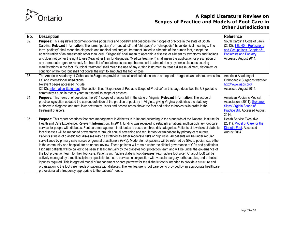

| No. | <b>Description</b>                                                                                                                                                                                                                                                                                                                                                                                                                                                                                                                                                                                                                                                                                                                                                                                                                                                                                                                                                                                                                                                                                                                                                                                                                                                                                                                                                                                                                                                                                                                                                                                                                                                                                                                                                                   | <b>Reference</b>                                                                                                                                     |
|-----|--------------------------------------------------------------------------------------------------------------------------------------------------------------------------------------------------------------------------------------------------------------------------------------------------------------------------------------------------------------------------------------------------------------------------------------------------------------------------------------------------------------------------------------------------------------------------------------------------------------------------------------------------------------------------------------------------------------------------------------------------------------------------------------------------------------------------------------------------------------------------------------------------------------------------------------------------------------------------------------------------------------------------------------------------------------------------------------------------------------------------------------------------------------------------------------------------------------------------------------------------------------------------------------------------------------------------------------------------------------------------------------------------------------------------------------------------------------------------------------------------------------------------------------------------------------------------------------------------------------------------------------------------------------------------------------------------------------------------------------------------------------------------------------|------------------------------------------------------------------------------------------------------------------------------------------------------|
| 32  | Purpose: This legislative document defines podiatrists and podiatry and describes their scope of practice in the state of South<br>Carolina. Relevant Information: The terms "podiatry" or "podiatrist" and "chiropody" or "chiropodist" have identical meanings. The<br>term "podiatry" shall mean the diagnosis and medical and surgical treatment limited to ailments of the human foot, except the<br>administration of an anaesthetic other than local. "Diagnosis" shall mean to ascertain a disease or ailment by symptoms and findings<br>and does not confer the right to use X-ray other than for diagnosis. "Medical treatment" shall mean the application or prescription of<br>any therapeutic agent or remedy for the relief of foot ailments, except the medical treatment of any systemic diseases causing<br>manifestations in the foot. "Surgical treatment" shall mean the use of any cutting instrument to treat a disease, ailment, deformity, or<br>condition of the foot, but shall not confer the right to amputate the foot or toes.                                                                                                                                                                                                                                                                                                                                                                                                                                                                                                                                                                                                                                                                                                                        | South Carolina Code of Laws.<br>(2013). Title 40 - Professions<br>and Occupations. Chapter 51.<br>Podiatrists and Podiatry.<br>Accessed August 2014. |
| 33  | The American Academy of Orthopaedic Surgeons provides musculoskeletal education to orthopaedic surgeons and others across the<br>US and international jurisdictions.<br>Relevant pages accessed include:<br>(2012). Information Statement. The section titled "Expansion of Podiatric Scope of Practice" on this page describes the US podiatric<br>community's push in recent years to expand its scope of practice.                                                                                                                                                                                                                                                                                                                                                                                                                                                                                                                                                                                                                                                                                                                                                                                                                                                                                                                                                                                                                                                                                                                                                                                                                                                                                                                                                                | American Academy of<br>Orthopaedic Surgeons website:<br>http://www.aaos.org/<br>Accessed August 2014.                                                |
| 34  | Purpose: This news brief describes the 2011 scope of practice bill in the state of Virginia. Relevant Information: The scope of<br>practice legislation updated the current definition of the practice of podiatry in Virginia, giving Virginia podiatrists the statutory<br>authority to diagnose and treat lower extremity ulcers and access areas above the foot and ankle to harvest skin grafts in the<br>treatment of ulcers.                                                                                                                                                                                                                                                                                                                                                                                                                                                                                                                                                                                                                                                                                                                                                                                                                                                                                                                                                                                                                                                                                                                                                                                                                                                                                                                                                  | American Podiatric Medical<br>Association. (2011). Governor<br><b>Signs Virginia Scope of</b><br>Practice Bill. Accessed August<br>2014.             |
| 35  | Purpose: This report describes foot care management in diabetes in in Ireland according to the standards of the National Institute for<br>Health and Care Excellence. Relevant Information: In 2011, funding was received to establish a national multidisciplinary foot care<br>service for people with diabetes. Foot care management in diabetes is based on three risk categories. Patients at low risks of diabetic<br>foot diseases will be managed preventatively through annual screening and regular foot examinations by primary care nurses.<br>Patients at risks of diabetic foot diseases may be stratified as either moderate risks or high risks. All patients will be under regular<br>surveillance by primary care nurses or general practitioners (GPs). Moderate risk patients will be referred by GPs to podiatrists, either<br>in the community or a hospital, for an annual review. These patients will remain under the clinical governance of GPs and podiatrists.<br>High risk patients will be called to be seen at least annually by the diabetes foot protection team and will be under the governance of<br>the foot protection team for their foot care. Patients with "active diabetic foot diseases" (e.g., active foot ulcer, Charcot foot) will be<br>actively managed by a multidisciplinary specialist foot care service, in conjunction with vascular surgery, orthopaedics, and orthotics<br>input as required. This integrated model of management or care pathway for the diabetic foot is intended to provide a structure and<br>organization to the foot care needs of patients with diabetes. The key feature is foot care being provided by an appropriate healthcare<br>professional at a frequency appropriate to the patients' needs. | Health Service Executive.<br>(2011). Model of Care for the<br><b>Diabetic Foot. Accessed</b><br>August 2014.                                         |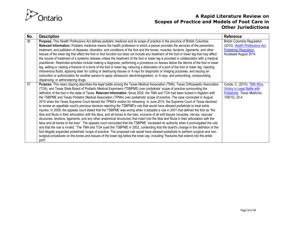

| No. | <b>Description</b>                                                                                                                                                                                                                                                                                                                                                                                                                                                                                                                                                                                                                                                                                                                                                                                                                                                                                                                                                                                                                                                                                                                                                                                                                                                                                                                                                                                                                                                                                                                                                                                                                                                                                                                                                                                        | Reference                                                                                                           |
|-----|-----------------------------------------------------------------------------------------------------------------------------------------------------------------------------------------------------------------------------------------------------------------------------------------------------------------------------------------------------------------------------------------------------------------------------------------------------------------------------------------------------------------------------------------------------------------------------------------------------------------------------------------------------------------------------------------------------------------------------------------------------------------------------------------------------------------------------------------------------------------------------------------------------------------------------------------------------------------------------------------------------------------------------------------------------------------------------------------------------------------------------------------------------------------------------------------------------------------------------------------------------------------------------------------------------------------------------------------------------------------------------------------------------------------------------------------------------------------------------------------------------------------------------------------------------------------------------------------------------------------------------------------------------------------------------------------------------------------------------------------------------------------------------------------------------------|---------------------------------------------------------------------------------------------------------------------|
| 36  | Purpose: This Health Professions Act defines podiatric medicine and its scope of practice in the province of British Columbia.<br>Relevant Information: Podiatric medicine means the health profession in which a person provides the services of the prevention,<br>treatment, and palliation of diseases, disorders, and conditions of the foot and the bones, muscles, tendons, ligaments, and other<br>tissues of the lower leg that affect the foot or foot function but does not include any treatment of the foot or lower leg that may affect<br>the course of treatment of a systemic disease unless the treatment of the foot or lower leg is provided in collaboration with a medical<br>practitioner. Restricted activities include making a diagnosis, performing a procedure on tissues below the dermis of the foot or lower<br>leg, setting or casting a fracture of a bone of the foot or lower leg, reducing a dislocation of a joint of the foot or lower leg, injecting<br>intravenous fluids, applying laser for cutting or destroying tissues or X-rays for diagnostic or imaging purposes, and issuing an<br>instruction or authorization for another person to apply ultrasound, electromagnetism, or X-rays, and prescribing, compounding,<br>dispensing, or administering drugs.                                                                                                                                                                                                                                                                                                                                                                                                                                                                                                | British Columbia Regulation.<br>(2010). Health Professions Act.<br>Podiatrists Regulation.<br>Accessed August 2014. |
| 37  | Purpose: This news clipping describes the legal battle among the Texas Medical Association (TMA), Texas Orthopaedic Association<br>(TOA), and Texas State Board of Podiatric Medical Examiners (TSBPME) over podiatrists' scope of practice surrounding the<br>definition of the foot in the state of Texas. Relevant Information: Since 2002, the TMA and TOA had been locked in litigation with<br>the TSBPME and Texas Podiatric Medical Association (TPMA) over podiatrists' scope of practice. The case concluded in August<br>2010 when the Texas Supreme Court denied the TPMA's motion for rehearing. In June 2010, the Supreme Court of Texas declined<br>to review an appellate court's previous decision rejecting the TSBPME's rule that would have allowed podiatrists to treat ankle<br>injuries. In 2008, the appeals court stated that the TSBPME was wrong when it adopted a rule in 2001 that defined the foot as "the<br>tibia and fibula in their articulation with the talus, and all bones to the toes, inclusive of all soft tissues (muscles, nerves, vascular<br>structures, tendons, ligaments, and any other anatomical structures) that insert into the tibia and fibula in their articulation with the<br>talus and all bones to the toes". The appeals court concluded that the TSBPME "exceeded its authority when it promulgated the rule<br>and that the rule is invalid." The TMA and TOA sued the TSBPME in 2002, contending that the board's change in the definition of the<br>foot illegally expanded podiatrists' scope of practice. The proposed rule would have allowed podiatrists to perform surgical and non-<br>surgical procedures on the bones and tissues of the lower leg below the knee cap, including "fractures that extend into the ankle<br>joint". | Conde, C. (2010). TMA Wins<br>Victory in Legal Battle with<br>Podiatrists. Texas Medicine,<br>$106(10)$ , 20-4.     |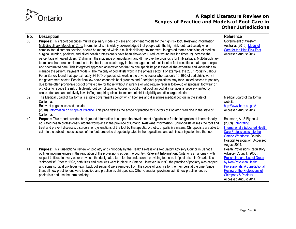

| No. | <b>Description</b>                                                                                                                                                                                                                                                                                                                                                                                                                                                                                                                                                                                                                                                                                                                                                                                                                                                                                                                                                                                                                                                                                                                                                                                                                                                                                                                                                                                                                                                                                                                                                                                                                                                                                                                                                                              | Reference                                                                                                                                                                                                                                         |
|-----|-------------------------------------------------------------------------------------------------------------------------------------------------------------------------------------------------------------------------------------------------------------------------------------------------------------------------------------------------------------------------------------------------------------------------------------------------------------------------------------------------------------------------------------------------------------------------------------------------------------------------------------------------------------------------------------------------------------------------------------------------------------------------------------------------------------------------------------------------------------------------------------------------------------------------------------------------------------------------------------------------------------------------------------------------------------------------------------------------------------------------------------------------------------------------------------------------------------------------------------------------------------------------------------------------------------------------------------------------------------------------------------------------------------------------------------------------------------------------------------------------------------------------------------------------------------------------------------------------------------------------------------------------------------------------------------------------------------------------------------------------------------------------------------------------|---------------------------------------------------------------------------------------------------------------------------------------------------------------------------------------------------------------------------------------------------|
| 38  | Purpose: This report describes multidisciplinary models of care and payment models for the high risk foot. Relevant Information:<br>Multidisciplinary Models of Care: Internationally, it is widely acknowledged that people with the high risk foot, particularly when<br>complex foot disorders develop, should be managed within a multidisciplinary environment. Integrated teams consisting of medical,<br>surgical, nursing, podiatry, and allied health professionals have been shown to: 1) reduce wound healing times; 2) increase the<br>percentage of healed ulcers; 3) diminish the incidence of amputation; and 4) improve the prognosis for limb salvage. Multidisciplinary<br>teams are therefore considered to be the best practice strategy in the management of multifaceted foot conditions that require expert<br>and coordinated care. This integrated approach acknowledges that no one specialist possesses all the expertise and knowledge to<br>manage the patient. Payment Models: The majority of podiatrists work in the private sector. For example, the 2007 Podiatry Labour<br>Force Survey found that approximately 84-90% of podiatrists work in the private sector whereas only 10-16% of podiatrists work in<br>the government sector. People from low socio-economic backgrounds and Aboriginal populations may face limited access to podiatry<br>due to the often prohibitive cost of private care for those without insurance or who require regular follow-up or specialist footwear or<br>orthotics to reduce the risk of high-risk foot complications. Access to public metropolitan podiatry services is severely limited by<br>excess demand and relatively low staffing, requiring clinics to implement strict eligibility and discharge criteria. | Government of Western<br>Australia. (2010). Model of<br>Care for the High Risk Foot.<br>Accessed August 2014.                                                                                                                                     |
| 39  | The Medical Board of California is a state government agency which licenses and disciplines medical doctors in the state of<br>California.<br>Relevant pages accessed include:<br>(2010). Information on Scope of Practice. This page defines the scope of practice for Doctors of Podiatric Medicine in the state of<br>California.                                                                                                                                                                                                                                                                                                                                                                                                                                                                                                                                                                                                                                                                                                                                                                                                                                                                                                                                                                                                                                                                                                                                                                                                                                                                                                                                                                                                                                                            | Medical Board of California<br>website:<br>http://www.bpm.ca.gov/<br>Accessed August 2014.                                                                                                                                                        |
| 40  | Purpose: This report provides background information to support the development of guidelines for the integration of internationally<br>educated health professionals into the workplace in the province of Ontario. Relevant Information: Chiropodists assess the foot and<br>treat and prevent diseases, disorders, or dysfunctions of the foot by therapeutic, orthotic, or palliative means. Chiropodists are able to<br>cut into the subcutaneous tissues of the foot, prescribe drugs designated in the regulations, and administer injection into the foot.                                                                                                                                                                                                                                                                                                                                                                                                                                                                                                                                                                                                                                                                                                                                                                                                                                                                                                                                                                                                                                                                                                                                                                                                                              | Baumann, A., & Blythe, J.<br>(2009). Integrating<br><b>Internationally Educated Health</b><br>Care Professionals into the<br>Ontario Workforce. Ontario<br>Hospital Association. Accessed<br>August 2014.                                         |
| 41  | Purpose: This jurisdictional review on podiatry and chiropody by the Health Professions Regulatory Advisory Council in Canada<br>outlines inconsistencies in the regulation of the professions across the country. Relevant Information: Ontario is an anomaly with<br>respect to titles. In every other province, the designated term for the professional providing foot care is "podiatrist"; in Ontario, it is<br>"chiropodist". Prior to 1993, both titles and practices were in place in Ontario. However, in 1993, the practice of podiatry was capped,<br>and some surgical privileges (e.g., backfoot surgery) were removed from the scope of practice for the members at the time. Since<br>then, all new practitioners were identified and practice as chiropodists. Other Canadian provinces admit new practitioners as<br>podiatrists and use the term podiatry.                                                                                                                                                                                                                                                                                                                                                                                                                                                                                                                                                                                                                                                                                                                                                                                                                                                                                                                   | <b>Health Professions Regulatory</b><br>Advisory Council. (2008).<br>Prescribing and Use of Drugs<br>by Non-Physician Health<br>Professionals: A Jurisdictional<br>Review of the Professions of<br>Chiropody & Podiatry.<br>Accessed August 2014. |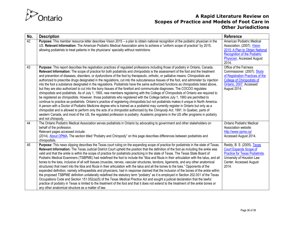

| No. | <b>Description</b>                                                                                                                                                                                                                                                                                                                                                                                                                                                                                                                                                                                                                                                                                                                                                                                                                                                                                                                                                                                                                                                                                                                                                                                                                                                                                                                                                                                                                                                                                                                                                                                                                                                                       | <b>Reference</b>                                                                                                                                                           |
|-----|------------------------------------------------------------------------------------------------------------------------------------------------------------------------------------------------------------------------------------------------------------------------------------------------------------------------------------------------------------------------------------------------------------------------------------------------------------------------------------------------------------------------------------------------------------------------------------------------------------------------------------------------------------------------------------------------------------------------------------------------------------------------------------------------------------------------------------------------------------------------------------------------------------------------------------------------------------------------------------------------------------------------------------------------------------------------------------------------------------------------------------------------------------------------------------------------------------------------------------------------------------------------------------------------------------------------------------------------------------------------------------------------------------------------------------------------------------------------------------------------------------------------------------------------------------------------------------------------------------------------------------------------------------------------------------------|----------------------------------------------------------------------------------------------------------------------------------------------------------------------------|
| 42  | Purpose: This member resource letter describes Vision 2015 – a plan to obtain national recognition of the podiatric physician in the<br>US. Relevant Information: The American Podiatric Medical Association aims to achieve a "uniform scope of practice" by 2015,<br>allowing podiatrists to treat patients in the physicians' specialty without restrictions.                                                                                                                                                                                                                                                                                                                                                                                                                                                                                                                                                                                                                                                                                                                                                                                                                                                                                                                                                                                                                                                                                                                                                                                                                                                                                                                         | American Podiatric Medical<br>Association. (2007). Vision<br>2015: A Plan to Obtain National<br><b>Recognition of the Podiatric</b><br>Physician. Accessed August<br>2014. |
| 43  | Purpose: This report describes the registration practices of regulated professions including those of podiatry in Ontario, Canada.<br>Relevant Information: The scope of practice for both podiatrists and chiropodists is the assessment of the foot and the treatment<br>and prevention of diseases, disorders, or dysfunctions of the foot by therapeutic, orthotic, or palliative means. Chiropodists are<br>authorized to prescribe drugs designated in the regulations, cut into the subcutaneous tissues of the foot, and administer by injection<br>into the foot a substance designated in the regulations. Podiatrists have the same authorized functions as chiropodists listed above,<br>but they are also authorized to cut into the bony tissues of the forefoot and communicate diagnoses. The COCOO regulates<br>chiropodists and podiatrists. As of July 1, 1993, new members registering with the College of Chiropodists of Ontario are required to<br>be registered as chiropodists. However, those podiatrists who registered with the College before July 1, 1993 are permitted to<br>continue to practice as podiatrists. Ontario's practice of registering chiropodists but not podiatrists makes it unique in North America.<br>A person with a Doctor of Podiatric Medicine degree who is trained as a podiatrist may currently register in Ontario but only as a<br>chiropodist and is allowed to perform only the acts of a chiropodist authorized by the Chiropody Act, 1991. In Quebec, parts of<br>western Canada, and most of the US, the regulated profession is podiatry. Academic programs in the US offer programs in podiatry<br>and not chiropody. | Office of the Fairness<br>Commissioner. (2007). Study<br>of Registration Practices of the<br><b>College of Chiropodists of</b><br>Ontario, 2007. Accessed<br>August 2014.  |
| 44  | The Ontario Podiatric Medical Association serves podiatrists in Ontario by advocating to government and other stakeholders on<br>behalf of the profession.<br>Relevant pages accessed include:<br>(2014). About OPMA. The section titled "Podiatry and Chiropody" on this page describes differences between podiatrists and<br>chiropodists.                                                                                                                                                                                                                                                                                                                                                                                                                                                                                                                                                                                                                                                                                                                                                                                                                                                                                                                                                                                                                                                                                                                                                                                                                                                                                                                                            | <b>Ontario Podiatric Medical</b><br>Association website:<br>http://www.opma.ca/<br>Accessed August 2014.                                                                   |
| 45  | Purpose: This news clipping describes the Texas court ruling on the expanding scope of practice for podiatrists in the state of Texas.<br>Relevant Information: The Texas Judicial District Court upheld the position that the definition of the foot as including the ankle was<br>valid and that the ankle is within the scope of practice for podiatrists practicing in the state of Texas. The Texas State Board of<br>Podiatric Medical Examiners (TSBPME) had redefined the foot to include the "tibia and fibula in their articulation with the talus, and all<br>bones to the toes, inclusive of all soft tissues (muscles, nerves, vascular structures, tendons, ligaments, and any other anatomical<br>structures) that insert into the tibia and fibula in their articulation with the talus and all the bones to the toes." Opponents of the<br>expanded definition, namely orthopaedists and physicians, had in response claimed that the inclusion of the bones of the ankle within<br>the proposed TSBPME definition unilaterally redefined the statutory term "podiatry" as it is employed in Section 202.001 of the Texas<br>Occupations Code and Section 151.052(a)(5) of the Texas Medical Practice Act and sought a judicial declaration that the lawful<br>practice of podiatry in Texas is limited to the treatment of the foot and that it does not extend to the treatment of the ankle bones or<br>any other anatomical structure as a matter of law.                                                                                                                                                                                                           | Reddy, B. S. (2005). Texas<br>Court Expands Scope of<br><b>Practice for Texas Podiatrists.</b><br>University of Houston Law<br>Center. Accessed August<br>2014.            |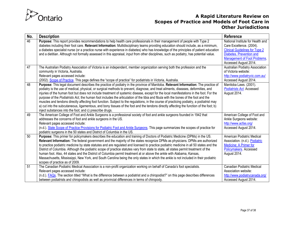

| No. | <b>Description</b>                                                                                                                                                                                                                                                              | <b>Reference</b>                      |
|-----|---------------------------------------------------------------------------------------------------------------------------------------------------------------------------------------------------------------------------------------------------------------------------------|---------------------------------------|
| 46  | Purpose: This report provides recommendations to help health care professionals in their management of people with Type 2                                                                                                                                                       | National Institute for Health and     |
|     | diabetes including their foot care. Relevant Information: Multidisciplinary teams providing education should include, as a minimum,                                                                                                                                             | Care Excellence. (2004).              |
|     | a diabetes specialist nurse (or a practice nurse with experience in diabetes) who has knowledge of the principles of patient education                                                                                                                                          | <b>Clinical Guidelines for Type 2</b> |
|     | and a dietitian. Although not formally assessed in this appraisal, input from other disciplines, such as podiatry, has potential value.                                                                                                                                         | Diabetes. Prevention and              |
|     |                                                                                                                                                                                                                                                                                 | <b>Management of Foot Problems.</b>   |
|     |                                                                                                                                                                                                                                                                                 | Accessed August 2014.                 |
| 47  | The Australian Podiatry Association of Victoria is an independent, member organization serving both the profession and the                                                                                                                                                      | Australian Podiatry Association       |
|     | community in Victoria, Australia.                                                                                                                                                                                                                                               | of Victoria website:                  |
|     | Relevant pages accessed include:                                                                                                                                                                                                                                                | http://www.podiatryvic.com.au/        |
|     | (2002). Scope of Practice. This page defines the "scope of practice" for podiatrists in Victoria, Australia.                                                                                                                                                                    | Accessed August 2014.                 |
| 48  | Purpose: This legal document describes the practice of podiatry in the province of Manitoba. Relevant Information: The practice of                                                                                                                                              | Manitoba Laws. (2001).                |
|     | podiatry is the use of medical, physical, or surgical methods to prevent, diagnose, and treat ailments, diseases, deformities, and                                                                                                                                              | <b>Podiatrists Act. Accessed</b>      |
|     | injuries of the human foot but does not include treatment of systemic disease, except for the local manifestations in the foot. For the                                                                                                                                         | August 2014.                          |
|     | purpose of the Podiatrists Act, the human foot includes the articulation of the tibia and fibula with the bones of the foot and the<br>muscles and tendons directly affecting foot function. Subject to the regulations, in the course of practicing podiatry, a podiatrist may |                                       |
|     | a) cut into the subcutaneous, ligamentous, and bony tissues of the foot and the tendons directly affecting the function of the foot; b)                                                                                                                                         |                                       |
|     | inject substances into the foot; and c) prescribe drugs.                                                                                                                                                                                                                        |                                       |
| 49  | The American College of Foot and Ankle Surgeons is a professional society of foot and ankle surgeons founded in 1942 that                                                                                                                                                       | American College of Foot and          |
|     | addresses the concerns of foot and ankle surgeons in the US.                                                                                                                                                                                                                    | Ankle Surgeons website:               |
|     | Relevant pages accessed include:                                                                                                                                                                                                                                                | http://www.acfas.org/                 |
|     | (n.d.). State Scope of Practice Provisions for Podiatric Foot and Ankle Surgeons. This page summarizes the scopes of practice for                                                                                                                                               | Accessed August 2014.                 |
|     | podiatric surgeons in the 50 states and District of Columbia in the US.                                                                                                                                                                                                         |                                       |
| 50  | Purpose: This primer for policymakers describes the education and training of Doctors of Podiatric Medicine (DPMs) in the US.                                                                                                                                                   | American Podiatric Medical            |
|     | Relevant Information: The federal government and the majority of the states recognize DPMs as physicians. DPMs are authorized                                                                                                                                                   | Association. (n.d.). Podiatric        |
|     | to practice podiatric medicine by state statutes and are regulated and licensed to practice podiatric medicine in all 50 states and the                                                                                                                                         | Medicine: A Primer for                |
|     | District of Columbia. Although the podiatric scope of practice statutes vary from state to state, all states permit treatment of the                                                                                                                                            | Policymakers. Accessed                |
|     | human foot. Also, 44 states and the District of Columbia permit treatment at or above the ankle with Alabama, Kansas,                                                                                                                                                           | August 2014.                          |
|     | Massachusetts, Mississippi, New York, and South Carolina being the only states in which the ankle is not included in their podiatric                                                                                                                                            |                                       |
|     | scopes of practice as of 2009.                                                                                                                                                                                                                                                  |                                       |
| 51  | The Canadian Podiatric Medical Association is a non-profit organization working on behalf of Canada's foot specialists.                                                                                                                                                         | Canadian Podiatric Medical            |
|     | Relevant pages accessed include:                                                                                                                                                                                                                                                | Association website:                  |
|     | (n.d.). FAQs. The section titled "What is the difference between a podiatrist and a chiropodist?" on this page describes differences                                                                                                                                            | http://www.podiatrycanada.org/        |
|     | between podiatrists and chiropodists as well as provincial differences in terms of chiropody.                                                                                                                                                                                   | Accessed August 2014.                 |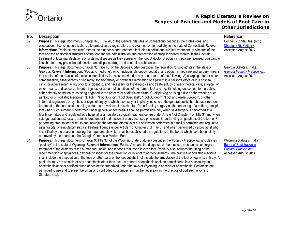

| No. | <b>Description</b>                                                                                                                                                                                                                                                                     | Reference                       |
|-----|----------------------------------------------------------------------------------------------------------------------------------------------------------------------------------------------------------------------------------------------------------------------------------------|---------------------------------|
| 52  | Purpose: This legal document (Chapter 375, Title 20, of the General Statutes of Connecticut) describes the professional and                                                                                                                                                            | Connecticut Statutes. (n.d.).   |
|     | occupational licensing, certification, title protection ad registration, and examination for podiatry in the state of Connecticut. Relevant                                                                                                                                            | Chapter 375. Podiatry.          |
|     | Information: "Podiatric medicine" means the diagnosis and treatment, including medical and surgical treatment, of ailments of the                                                                                                                                                      | Accessed August 2014.           |
|     | foot and the anatomical structures of the foot and the administration and prescription of drugs incidental thereto. It shall include                                                                                                                                                   |                                 |
|     | treatment of local manifestations of systemic diseases as they appear on the foot. A doctor of podiatric medicine, licensed pursuant to                                                                                                                                                |                                 |
|     | this chapter, may prescribe, administer, and dispense drugs and controlled substances.                                                                                                                                                                                                 |                                 |
| 53  | Purpose: This legal document (Chapter 35, Title 43, of the Georgia Code) describes the regulation for podiatrists in the state of                                                                                                                                                      | Georgia Statutes. (n.d.).       |
|     | Georgia. Relevant Information: "Podiatric medicine", which includes chiropody, podiatry, and podiatric medicine and surgery, means                                                                                                                                                     | Georgia Podiatry Practice Act.  |
|     | that portion of the practice of medicine identified by the acts described in any one or more of the following: A) charging a fee or other                                                                                                                                              | Accessed August 2014.           |
|     | compensation, either directly or indirectly, for any history or physical examination of a patient in a person's office or in a hospital,                                                                                                                                               |                                 |
|     | clinic, or other similar facility prior to, incident to, and necessary for the diagnosis and treatment, by primary medical care, surgical, or<br>other means, of diseases, ailments, injuries, or abnormal conditions of the human foot and leg; B) holding oneself out to the public, |                                 |
|     | either directly or indirectly, as being engaged in the practice of podiatric medicine; C) displaying or using a title or abbreviation such                                                                                                                                             |                                 |
|     | as "Doctor of Podiatric Medicine", "D.P.M.", "Foot Doctor", "Foot Specialist", "Foot Surgeon", "Foot and Ankle Surgeon", or other                                                                                                                                                      |                                 |
|     | letters, designations, or symbols or signs of any type which expressly or implicitly indicate to the general public that the user renders                                                                                                                                              |                                 |
|     | treatment to the foot, ankle, and leg under the provisions of this chapter; D) performing surgery on the foot or leg of a patient, except                                                                                                                                              |                                 |
|     | that when such surgery is performed under general anaesthesia it shall be permissible only when said surgery is performed at a                                                                                                                                                         |                                 |
|     | facility permitted and regulated as a hospital or ambulatory surgical treatment centre under Article 1 of Chapter 7 of Title 31 and when                                                                                                                                               |                                 |
|     | said general anaesthesia is administered under the direction of a duly licensed physician; E) performing amputations of the toe; or F)                                                                                                                                                 |                                 |
|     | performing amputations distal to and including the tarsometatarsal joint but only when performed in a facility permitted and regulated                                                                                                                                                 |                                 |
|     | as a hospital or ambulatory surgical treatment centre under Article 1 of Chapter 7 of Title 31 and when performed by a podiatrist who                                                                                                                                                  |                                 |
|     | is certified by the board in meeting the requirements which shall be established by regulations of the board which have been jointly                                                                                                                                                   |                                 |
|     | approved by the board and the Georgia Composite Medical Board.                                                                                                                                                                                                                         |                                 |
| 54  | Purpose: This legal document (Chapter 9, Title 33, of the Wyoming State Statutes) describes the Podiatry Practice Act and defines                                                                                                                                                      | Wyoming Statutes. (n.d.).       |
|     | "podiatry" in the state of Wyoming. Relevant Information: "Podiatry" means the diagnosis or the medical, mechanical, or surgical                                                                                                                                                       | <b>Board of Registration in</b> |
|     | treatment of the ailments of the human foot, ankle, and tendons that insert into the foot. Podiatry also includes the fitting or the                                                                                                                                                   | <b>Podiatry Practice Act.</b>   |
|     | recommending of appliances, devices, or shoes for the correction or relief of minor foot ailments. The practice of podiatric medicine                                                                                                                                                  | Accessed August 2014.           |
|     | shall include the amputation of the toes or other parts of the foot but shall not include the amputation of the foot or leg in its entirety. A                                                                                                                                         |                                 |
|     | podiatrist may not administer any anaesthetic other than local. A general anaesthesia shall be administered in a hospital by an                                                                                                                                                        |                                 |
|     | anaesthesiologist or certified nurse anaesthetist authorized under the laws of Wyoming to administer anaesthesia. Podiatrists are                                                                                                                                                      |                                 |
|     | permitted to use and to prescribe drugs and controlled substances as may be necessary in the practice of podiatry (Wyoming                                                                                                                                                             |                                 |
|     | Statutes, n.d.).                                                                                                                                                                                                                                                                       |                                 |